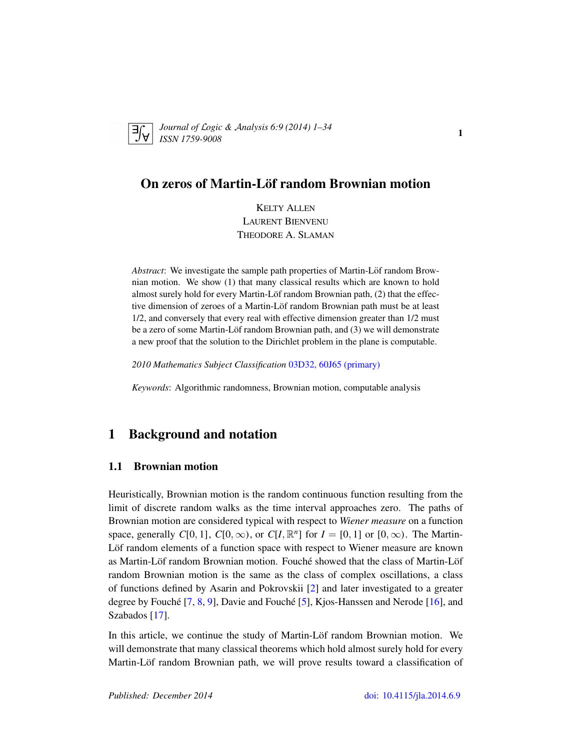<span id="page-0-1"></span>

*Journal of* L*ogic &* A*nalysis 6:9 (2014) 1–34 ISSN 1759-9008* 1

# On zeros of Martin-Löf random Brownian motion

KELTY ALLEN LAURENT BIENVENU THEODORE A. SLAMAN

*Abstract*: We investigate the sample path properties of Martin-Löf random Brownian motion. We show (1) that many classical results which are known to hold almost surely hold for every Martin-Löf random Brownian path,  $(2)$  that the effective dimension of zeroes of a Martin-Löf random Brownian path must be at least 1/2, and conversely that every real with effective dimension greater than 1/2 must be a zero of some Martin-Löf random Brownian path, and  $(3)$  we will demonstrate a new proof that the solution to the Dirichlet problem in the plane is computable.

*2010 Mathematics Subject Classification* [03D32, 60J65 \(primary\)](http://www.ams.org/mathscinet/search/mscdoc.html?code=03D32, 60J65)

*Keywords*: Algorithmic randomness, Brownian motion, computable analysis

# <span id="page-0-0"></span>1 Background and notation

## 1.1 Brownian motion

Heuristically, Brownian motion is the random continuous function resulting from the limit of discrete random walks as the time interval approaches zero. The paths of Brownian motion are considered typical with respect to *Wiener measure* on a function space, generally  $C[0, 1]$ ,  $C[0, \infty)$ , or  $C[I, \mathbb{R}^n]$  for  $I = [0, 1]$  or  $[0, \infty)$ . The Martin-Löf random elements of a function space with respect to Wiener measure are known as Martin-Löf random Brownian motion. Fouché showed that the class of Martin-Löf random Brownian motion is the same as the class of complex oscillations, a class of functions defined by Asarin and Pokrovskii [\[2\]](#page-31-0) and later investigated to a greater degree by Fouché  $[7, 8, 9]$  $[7, 8, 9]$  $[7, 8, 9]$  $[7, 8, 9]$  $[7, 8, 9]$  $[7, 8, 9]$ , Davie and Fouché  $[5]$  $[5]$ , Kjos-Hanssen and Nerode  $[16]$ , and Szabados [\[17\]](#page-32-3).

In this article, we continue the study of Martin-Löf random Brownian motion. We will demonstrate that many classical theorems which hold almost surely hold for every Martin-Löf random Brownian path, we will prove results toward a classification of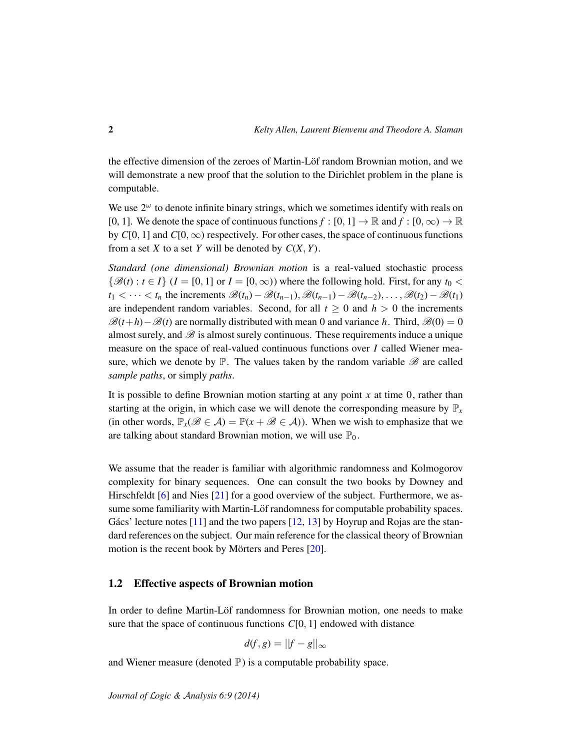the effective dimension of the zeroes of Martin-Löf random Brownian motion, and we will demonstrate a new proof that the solution to the Dirichlet problem in the plane is computable.

We use  $2^{\omega}$  to denote infinite binary strings, which we sometimes identify with reals on [0, 1]. We denote the space of continuous functions  $f : [0, 1] \to \mathbb{R}$  and  $f : [0, \infty) \to \mathbb{R}$ by  $C[0, 1]$  and  $C[0, \infty)$  respectively. For other cases, the space of continuous functions from a set *X* to a set *Y* will be denoted by  $C(X, Y)$ .

*Standard (one dimensional) Brownian motion* is a real-valued stochastic process  $\{\mathcal{B}(t): t \in I\}$  ( $I = [0, 1]$  or  $I = [0, \infty)$ ) where the following hold. First, for any  $t_0 <$  $t_1 < \cdots < t_n$  the increments  $\mathscr{B}(t_n) - \mathscr{B}(t_{n-1}), \mathscr{B}(t_{n-1}) - \mathscr{B}(t_{n-2}), \ldots, \mathscr{B}(t_2) - \mathscr{B}(t_1)$ are independent random variables. Second, for all  $t \geq 0$  and  $h > 0$  the increments  $\mathcal{B}(t+h)-\mathcal{B}(t)$  are normally distributed with mean 0 and variance *h*. Third,  $\mathcal{B}(0) = 0$ almost surely, and  $\mathscr B$  is almost surely continuous. These requirements induce a unique measure on the space of real-valued continuous functions over *I* called Wiener measure, which we denote by  $\mathbb{P}$ . The values taken by the random variable  $\mathscr{B}$  are called *sample paths*, or simply *paths*.

It is possible to define Brownian motion starting at any point  $x$  at time  $0$ , rather than starting at the origin, in which case we will denote the corresponding measure by  $\mathbb{P}_x$ (in other words,  $\mathbb{P}_x(\mathscr{B} \in \mathcal{A}) = \mathbb{P}(x + \mathscr{B} \in \mathcal{A})$ ). When we wish to emphasize that we are talking about standard Brownian motion, we will use  $\mathbb{P}_0$ .

We assume that the reader is familiar with algorithmic randomness and Kolmogorov complexity for binary sequences. One can consult the two books by Downey and Hirschfeldt [\[6\]](#page-31-3) and Nies [\[21\]](#page-32-4) for a good overview of the subject. Furthermore, we assume some familiarity with Martin-Löf randomness for computable probability spaces. Gács' lecture notes  $[11]$  $[11]$  and the two papers  $[12, 13]$  $[12, 13]$  $[12, 13]$  by Hoyrup and Rojas are the standard references on the subject. Our main reference for the classical theory of Brownian motion is the recent book by Mörters and Peres  $[20]$  $[20]$ .

## 1.2 Effective aspects of Brownian motion

In order to define Martin-Löf randomness for Brownian motion, one needs to make sure that the space of continuous functions *C*[0, 1] endowed with distance

$$
d(f,g) = ||f - g||_{\infty}
$$

and Wiener measure (denoted  $\mathbb{P}$ ) is a computable probability space.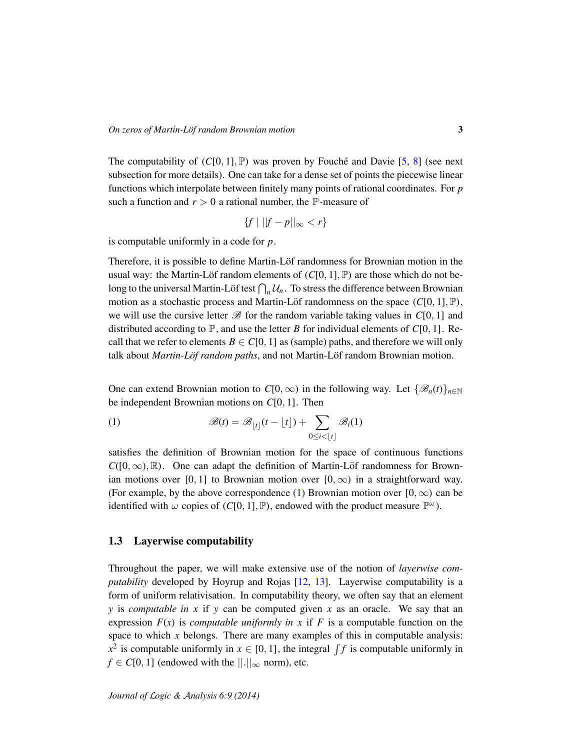The computability of  $(C[0, 1], \mathbb{P})$  was proven by Fouché and Davie [[5,](#page-31-2) [8\]](#page-32-0) (see next subsection for more details). One can take for a dense set of points the piecewise linear functions which interpolate between finitely many points of rational coordinates. For *p* such a function and  $r > 0$  a rational number, the  $\mathbb{P}$ -measure of

$$
\{f \mid ||f - p||_{\infty} < r\}
$$

is computable uniformly in a code for *p*.

Therefore, it is possible to define Martin-Lof randomness for Brownian motion in the usual way: the Martin-Löf random elements of  $(C[0, 1], \mathbb{P})$  are those which do not belong to the universal Martin-Löf test  $\bigcap_n \mathcal{U}_n$ . To stress the difference between Brownian motion as a stochastic process and Martin-Löf randomness on the space  $(C[0, 1], \mathbb{P})$ , we will use the cursive letter  $\mathscr{B}$  for the random variable taking values in  $C[0, 1]$  and distributed according to  $\mathbb{P}$ , and use the letter *B* for individual elements of *C*[0, 1]. Recall that we refer to elements  $B \in C[0, 1]$  as (sample) paths, and therefore we will only talk about *Martin-Löf random paths*, and not Martin-Löf random Brownian motion.

One can extend Brownian motion to  $C[0,\infty)$  in the following way. Let  $\{\mathscr{B}_n(t)\}_{n\in\mathbb{N}}$ be independent Brownian motions on *C*[0, 1]. Then

<span id="page-2-0"></span>(1) 
$$
\mathscr{B}(t) = \mathscr{B}_{\lfloor t \rfloor}(t - \lfloor t \rfloor) + \sum_{0 \le i < |t|} \mathscr{B}_i(1)
$$

satisfies the definition of Brownian motion for the space of continuous functions  $C([0,\infty), \mathbb{R})$ . One can adapt the definition of Martin-Löf randomness for Brownian motions over [0, 1] to Brownian motion over  $[0, \infty)$  in a straightforward way. (For example, by the above correspondence [\(1\)](#page-2-0) Brownian motion over  $[0, \infty)$  can be identified with  $\omega$  copies of (*C*[0, 1], P), endowed with the product measure  $\mathbb{P}^{\omega}$ ).

#### 1.3 Layerwise computability

Throughout the paper, we will make extensive use of the notion of *layerwise computability* developed by Hoyrup and Rojas [\[12,](#page-32-6) [13\]](#page-32-7). Layerwise computability is a form of uniform relativisation. In computability theory, we often say that an element *y* is *computable in x* if *y* can be computed given *x* as an oracle. We say that an expression  $F(x)$  is *computable uniformly in x* if F is a computable function on the space to which *x* belongs. There are many examples of this in computable analysis:  $x^2$  is computable uniformly in  $x \in [0, 1]$ , the integral  $\int f$  is computable uniformly in  $f \in C[0, 1]$  (endowed with the  $\lVert \cdot \rVert_{\infty}$  norm), etc.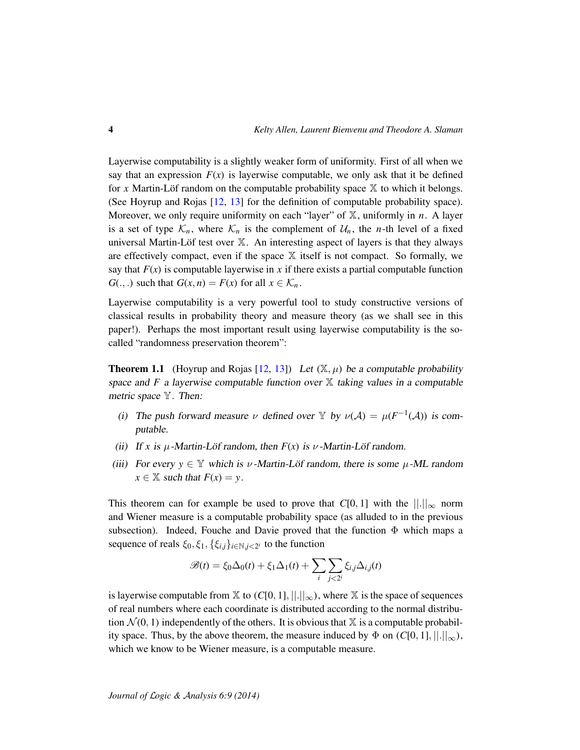Layerwise computability is a slightly weaker form of uniformity. First of all when we say that an expression  $F(x)$  is layerwise computable, we only ask that it be defined for *x* Martin-Löf random on the computable probability space  $\mathbb{X}$  to which it belongs. (See Hoyrup and Rojas [\[12,](#page-32-6) [13\]](#page-32-7) for the definition of computable probability space). Moreover, we only require uniformity on each "layer" of X, uniformly in *n*. A layer is a set of type  $\mathcal{K}_n$ , where  $\mathcal{K}_n$  is the complement of  $\mathcal{U}_n$ , the *n*-th level of a fixed universal Martin-Löf test over  $X$ . An interesting aspect of layers is that they always are effectively compact, even if the space  $X$  itself is not compact. So formally, we say that  $F(x)$  is computable layerwise in x if there exists a partial computable function  $G(.,.)$  such that  $G(x, n) = F(x)$  for all  $x \in \mathcal{K}_n$ .

Layerwise computability is a very powerful tool to study constructive versions of classical results in probability theory and measure theory (as we shall see in this paper!). Perhaps the most important result using layerwise computability is the socalled "randomness preservation theorem":

<span id="page-3-0"></span>**Theorem 1.1** (Hoyrup and Rojas [\[12,](#page-32-6) [13\]](#page-32-7)) Let  $(\mathbb{X}, \mu)$  be a computable probability space and  $F$  a layerwise computable function over  $X$  taking values in a computable metric space Y. Then:

- (i) The push forward measure  $\nu$  defined over Y by  $\nu(\mathcal{A}) = \mu(F^{-1}(\mathcal{A}))$  is computable.
- (ii) If *x* is  $\mu$ -Martin-Löf random, then  $F(x)$  is  $\nu$ -Martin-Löf random.
- (iii) For every  $y \in Y$  which is  $\nu$ -Martin-Löf random, there is some  $\mu$ -ML random  $x \in \mathbb{X}$  such that  $F(x) = y$ .

This theorem can for example be used to prove that  $C[0, 1]$  with the  $\|\cdot\|_{\infty}$  norm and Wiener measure is a computable probability space (as alluded to in the previous subsection). Indeed, Fouche and Davie proved that the function  $\Phi$  which maps a sequence of reals  $\xi_0, \xi_1, \{\xi_{i,j}\}_{i \in \mathbb{N}, j < 2^i}$  to the function

$$
\mathscr{B}(t) = \xi_0 \Delta_0(t) + \xi_1 \Delta_1(t) + \sum_i \sum_{j < 2^i} \xi_{i,j} \Delta_{i,j}(t)
$$

is layerwise computable from  $\mathbb{X}$  to  $(C[0, 1], ||.||_{\infty})$ , where  $\mathbb{X}$  is the space of sequences of real numbers where each coordinate is distributed according to the normal distribution  $\mathcal{N}(0, 1)$  independently of the others. It is obvious that  $\mathbb{X}$  is a computable probability space. Thus, by the above theorem, the measure induced by  $\Phi$  on  $(C[0, 1], ||.||_{\infty})$ , which we know to be Wiener measure, is a computable measure.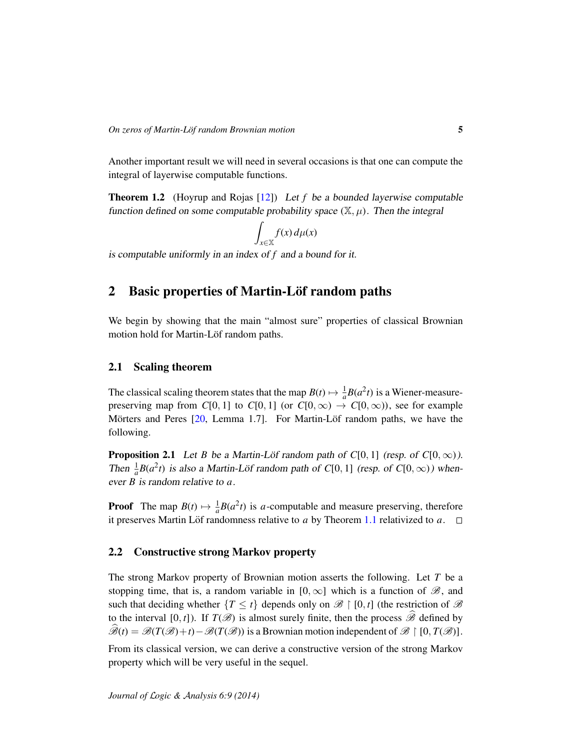Another important result we will need in several occasions is that one can compute the integral of layerwise computable functions.

<span id="page-4-0"></span>Theorem 1.2 (Hoyrup and Rojas [\[12\]](#page-32-6)) Let *f* be a bounded layerwise computable function defined on some computable probability space  $(\mathbb{X}, \mu)$ . Then the integral

$$
\int_{x\in\mathbb{X}} f(x) \, d\mu(x)
$$

is computable uniformly in an index of *f* and a bound for it.

# 2 Basic properties of Martin-Löf random paths

We begin by showing that the main "almost sure" properties of classical Brownian motion hold for Martin-Löf random paths.

## <span id="page-4-1"></span>2.1 Scaling theorem

The classical scaling theorem states that the map  $B(t) \mapsto \frac{1}{a} B(a^2 t)$  is a Wiener-measurepreserving map from *C*[0, 1] to *C*[0, 1] (or *C*[0,  $\infty$ )  $\rightarrow$  *C*[0,  $\infty$ )), see for example Mörters and Peres  $[20,$  $[20,$  Lemma 1.7]. For Martin-Löf random paths, we have the following.

**Proposition 2.1** Let *B* be a Martin-Löf random path of  $C[0, 1]$  (resp. of  $C[0, \infty)$ ). Then  $\frac{1}{a}B(a^2t)$  is also a Martin-Löf random path of C[0, 1] (resp. of C[0,  $\infty$ )) whenever *B* is random relative to *a*.

**Proof** The map  $B(t) \mapsto \frac{1}{a}B(a^2t)$  is *a*-computable and measure preserving, therefore it preserves Martin Löf randomness relative to *a* by Theorem [1.1](#page-3-0) relativized to *a*.  $\square$ 

#### 2.2 Constructive strong Markov property

The strong Markov property of Brownian motion asserts the following. Let *T* be a stopping time, that is, a random variable in  $[0, \infty]$  which is a function of  $\mathscr{B}$ , and such that deciding whether  ${T \le t}$  depends only on  $\mathscr{B} \restriction [0, t]$  (the restriction of  $\mathscr{B}$ to the interval [0, *t*]). If  $T(\mathscr{B})$  is almost surely finite, then the process  $\widehat{\mathscr{B}}$  defined by  $\widehat{\mathscr{B}}(t) = \mathscr{B}(T(\mathscr{B})+t) - \mathscr{B}(T(\mathscr{B}))$  is a Brownian motion independent of  $\mathscr{B} \restriction [0, T(\mathscr{B})]$ .

From its classical version, we can derive a constructive version of the strong Markov property which will be very useful in the sequel.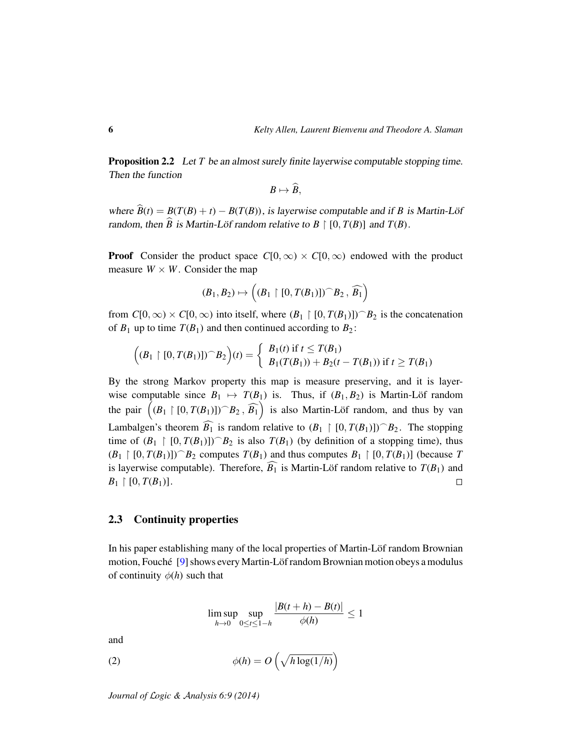**Proposition 2.2** Let *T* be an almost surely finite layerwise computable stopping time. Then the function

$$
B\mapsto \widehat{B},
$$

where  $\widehat{B}(t) = B(T(B) + t) - B(T(B))$ , is layerwise computable and if *B* is Martin-Löf random, then  $\widehat{B}$  is Martin-Löf random relative to  $B \restriction [0, T(B)]$  and  $T(B)$ .

**Proof** Consider the product space  $C[0,\infty) \times C[0,\infty)$  endowed with the product measure  $W \times W$ . Consider the map

$$
(B_1, B_2) \mapsto \left( (B_1 \upharpoonright [0, T(B_1)]) \cap B_2, \widehat{B_1} \right)
$$

from  $C[0,\infty) \times C[0,\infty)$  into itself, where  $(B_1 \restriction [0,T(B_1)])^2 B_2$  is the concatenation of  $B_1$  up to time  $T(B_1)$  and then continued according to  $B_2$ :

$$
((B_1 \restriction [0, T(B_1)]) \cap B_2)(t) = \begin{cases} B_1(t) \text{ if } t \leq T(B_1) \\ B_1(T(B_1)) + B_2(t - T(B_1)) \text{ if } t \geq T(B_1) \end{cases}
$$

By the strong Markov property this map is measure preserving, and it is layerwise computable since  $B_1 \mapsto T(B_1)$  is. Thus, if  $(B_1, B_2)$  is Martin-Löf random the pair  $((B_1 \upharpoonright [0, T(B_1)]) \supset B_2$ ,  $\widehat{B_1})$  is also Martin-Löf random, and thus by van Lambalgen's theorem  $\widehat{B_1}$  is random relative to  $(B_1 \restriction [0, T(B_1)])^2 B_2$ . The stopping time of  $(B_1 \restriction [0, T(B_1)])^2 B_2$  is also  $T(B_1)$  (by definition of a stopping time), thus  $(B_1 \restriction [0, T(B_1)])^B_2$  computes  $T(B_1)$  and thus computes  $B_1 \restriction [0, T(B_1)]$  (because *T* is layerwise computable). Therefore,  $\widehat{B_1}$  is Martin-Löf random relative to  $T(B_1)$  and  $B_1 \restriction [0, T(B_1)]$ .  $B_1 \restriction [0, T(B_1)].$ 

#### 2.3 Continuity properties

In his paper establishing many of the local properties of Martin-Lof random Brownian motion, Fouché [[9\]](#page-32-1) shows every Martin-Löf random Brownian motion obeys a modulus of continuity  $\phi(h)$  such that

<span id="page-5-0"></span>
$$
\limsup_{h\to 0}\sup_{0\leq t\leq 1-h}\frac{|B(t+h)-B(t)|}{\phi(h)}\leq 1
$$

and

(2) 
$$
\phi(h) = O\left(\sqrt{h \log(1/h)}\right)
$$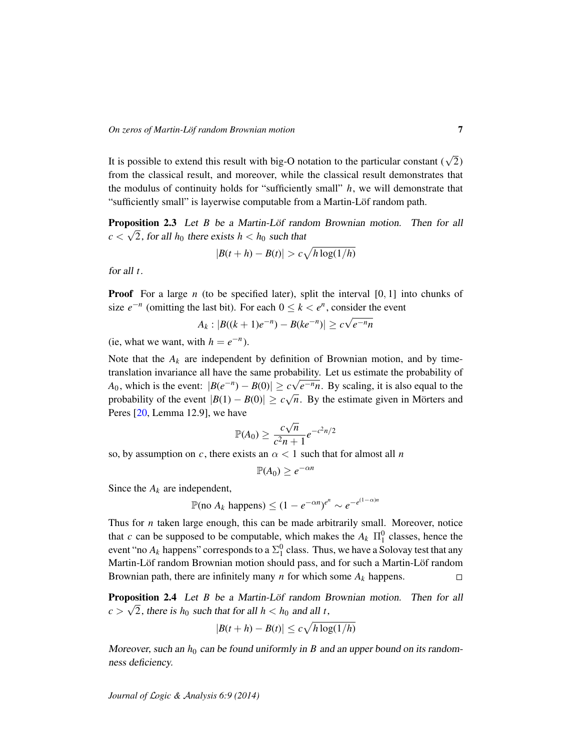It is possible to extend this result with big-O notation to the particular constant ( $\sqrt{2}$ ) from the classical result, and moreover, while the classical result demonstrates that the modulus of continuity holds for "sufficiently small" *h*, we will demonstrate that "sufficiently small" is layerwise computable from a Martin-Löf random path.

<span id="page-6-1"></span>**Proposition 2.3** Let *B* be a Martin-Löf random Brownian motion. Then for all  $c < \sqrt{2}$ , for all  $h_0$  there exists  $h < h_0$  such that

$$
|B(t+h) - B(t)| > c\sqrt{h\log(1/h)}
$$

for all *t*.

**Proof** For a large *n* (to be specified later), split the interval [0, 1] into chunks of size  $e^{-n}$  (omitting the last bit). For each  $0 \le k < e^n$ , consider the event

$$
A_k: |B((k+1)e^{-n}) - B(ke^{-n})| \ge c\sqrt{e^{-n}n}
$$

(ie, what we want, with  $h = e^{-n}$ ).

Note that the  $A_k$  are independent by definition of Brownian motion, and by timetranslation invariance all have the same probability. Let us estimate the probability of *A*<sub>0</sub>, which is the event:  $|B(e^{-n}) - B(0)| \ge c\sqrt{e^{-n}n}$ . By scaling, it is also equal to the probability of the event  $|B(1) - B(0)| \ge c \sqrt{2}$  $\overline{n}$ . By the estimate given in Mörters and Peres [\[20,](#page-32-8) Lemma 12.9], we have √

$$
\mathbb{P}(A_0) \ge \frac{c\sqrt{n}}{c^2n+1}e^{-c^2n/2}
$$

so, by assumption on *c*, there exists an  $\alpha < 1$  such that for almost all *n* 

$$
\mathbb{P}(A_0) \geq e^{-\alpha n}
$$

Since the  $A_k$  are independent,

$$
\mathbb{P}(\text{no } A_k \text{ happens}) \le (1 - e^{-\alpha n})^{e^n} \sim e^{-e^{(1-\alpha)n}}
$$

Thus for *n* taken large enough, this can be made arbitrarily small. Moreover, notice that *c* can be supposed to be computable, which makes the  $A_k$   $\Pi_1^0$  classes, hence the event "no  $A_k$  happens" corresponds to a  $\Sigma^0_1$  class. Thus, we have a Solovay test that any Martin-Löf random Brownian motion should pass, and for such a Martin-Löf random Brownian path, there are infinitely many *n* for which some *A<sup>k</sup>* happens.  $\Box$ 

<span id="page-6-0"></span>**Proposition 2.4** Let *B* be a Martin-Löf random Brownian motion. Then for all  $c > \sqrt{2}$ , there is  $h_0$  such that for all  $h < h_0$  and all *t*,

$$
|B(t+h) - B(t)| \le c\sqrt{h\log(1/h)}
$$

Moreover, such an  $h_0$  can be found uniformly in *B* and an upper bound on its randomness deficiency.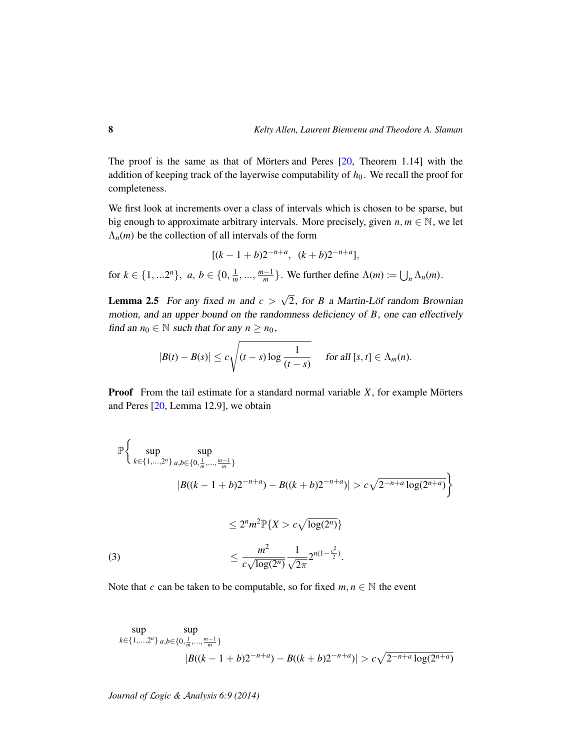The proof is the same as that of Mörters and Peres  $[20,$  $[20,$  Theorem 1.14] with the addition of keeping track of the layerwise computability of  $h_0$ . We recall the proof for completeness.

We first look at increments over a class of intervals which is chosen to be sparse, but big enough to approximate arbitrary intervals. More precisely, given  $n, m \in \mathbb{N}$ , we let  $\Lambda_n(m)$  be the collection of all intervals of the form

$$
[(k-1+b)2^{-n+a}, (k+b)2^{-n+a}],
$$

for  $k \in \{1, ...2^n\}$ ,  $a, b \in \{0, \frac{1}{m}, ..., \frac{m-1}{m}\}$ . We further define  $\Lambda(m) \coloneqq \bigcup_n \Lambda_n(m)$ .

<span id="page-7-1"></span>**Lemma 2.5** For any fixed *m* and  $c >$ √ 2, for *B* a Martin-Löf random Brownian motion, and an upper bound on the randomness deficiency of *B*, one can effectively find an  $n_0 \in \mathbb{N}$  such that for any  $n \geq n_0$ ,

$$
|B(t) - B(s)| \leq c \sqrt{(t-s) \log \frac{1}{(t-s)}} \quad \text{ for all } [s, t] \in \Lambda_m(n).
$$

**Proof** From the tail estimate for a standard normal variable *X*, for example Mörters and Peres [\[20,](#page-32-8) Lemma 12.9], we obtain

$$
\mathbb{P}\left\{\sup_{k\in\{1,\ldots,2^n\}}\sup_{a,b\in\{0,\frac{1}{m},\ldots,\frac{m-1}{m}\}}\text{B}(\frac{1}{k-1}+b)2^{-n+a}) - B((k+b)2^{-n+a}) > c\sqrt{2^{-n+a}\log(2^{n+a})}\right\}
$$
\n
$$
\leq 2^n m^2 \mathbb{P}\{X > c\sqrt{\log(2^n)}\}
$$
\n
$$
\leq \frac{m^2}{c\sqrt{\log(2^n)}} \frac{1}{\sqrt{2\pi}} 2^{n(1-\frac{c^2}{2})}.
$$
\n
$$
(3)
$$

<span id="page-7-0"></span>Note that *c* can be taken to be computable, so for fixed  $m, n \in \mathbb{N}$  the event

$$
\sup_{k \in \{1, \ldots, 2^n\}} \sup_{a,b \in \{0, \frac{1}{m}, \ldots, \frac{m-1}{m}\}} \left| B((k-1+b)2^{-n+a}) - B((k+b)2^{-n+a}) \right| > c\sqrt{2^{-n+a} \log(2^{n+a})}
$$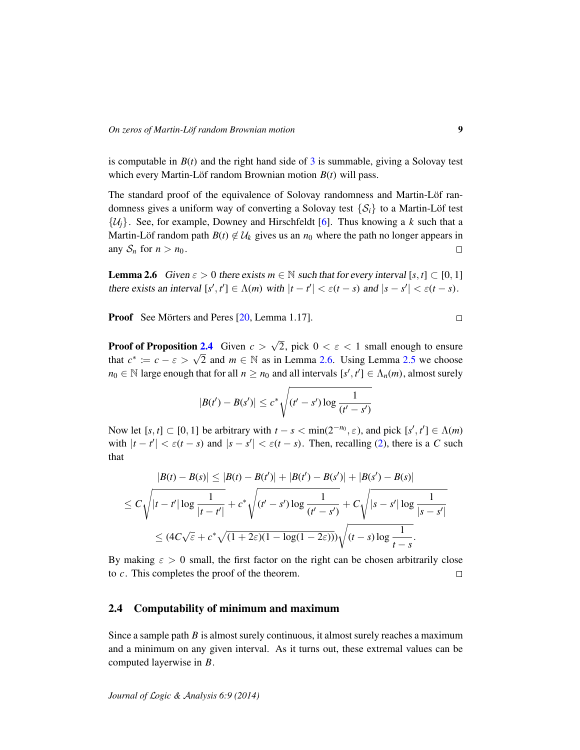is computable in  $B(t)$  and the right hand side of  $3$  is summable, giving a Solovay test which every Martin-Löf random Brownian motion  $B(t)$  will pass.

The standard proof of the equivalence of Solovay randomness and Martin-Löf randomness gives a uniform way of converting a Solovay test  $\{S_i\}$  to a Martin-Löf test  $\{\mathcal{U}_i\}$ . See, for example, Downey and Hirschfeldt [\[6\]](#page-31-3). Thus knowing a *k* such that a Martin-Löf random path  $B(t) \notin U_k$  gives us an  $n_0$  where the path no longer appears in any  $S_n$  for  $n > n_0$ .  $\Box$ 

<span id="page-8-0"></span>**Lemma 2.6** Given  $\varepsilon > 0$  there exists  $m \in \mathbb{N}$  such that for every interval  $[s, t] \subset [0, 1]$ there exists an interval  $[s', t'] \in \Lambda(m)$  with  $|t - t'| < \varepsilon(t - s)$  and  $|s - s'| < \varepsilon(t - s)$ .

**Proof** See Mörters and Peres [[20,](#page-32-8) Lemma 1.17].

Proof of Proposition [2.4](#page-6-0) Given  $c >$ √ 2, pick  $0 < \varepsilon < 1$  small enough to ensure **Example 12.4** Civen  $c > \sqrt{2}$ , pick  $0 < \epsilon < 1$  small enough to ensure that  $c^* := c - \epsilon > \sqrt{2}$  and  $m \in \mathbb{N}$  as in Lemma [2.6.](#page-8-0) Using Lemma [2.5](#page-7-1) we choose  $n_0 \in \mathbb{N}$  large enough that for all  $n \geq n_0$  and all intervals  $[s', t'] \in \Lambda_n(m)$ , almost surely

$$
|B(t') - B(s')| \le c^* \sqrt{(t'-s') \log \frac{1}{(t'-s')}}
$$

Now let  $[s, t] \subset [0, 1]$  be arbitrary with  $t - s < \min(2^{-n_0}, \varepsilon)$ , and pick  $[s', t'] \in \Lambda(m)$ with  $|t - t'| < \varepsilon (t - s)$  and  $|s - s'| < \varepsilon (t - s)$ . Then, recalling [\(2\)](#page-5-0), there is a *C* such that

$$
|B(t) - B(s)| \le |B(t) - B(t')| + |B(t') - B(s')| + |B(s') - B(s)|
$$
  

$$
\le C \sqrt{|t - t'| \log \frac{1}{|t - t'|}} + c^* \sqrt{(t' - s') \log \frac{1}{(t' - s')}} + C \sqrt{|s - s'| \log \frac{1}{|s - s'|}}
$$
  

$$
\le (4C\sqrt{\varepsilon} + c^* \sqrt{(1 + 2\varepsilon)(1 - \log(1 - 2\varepsilon))}) \sqrt{(t - s) \log \frac{1}{t - s}}.
$$

By making  $\epsilon > 0$  small, the first factor on the right can be chosen arbitrarily close to *c*. This completes the proof of the theorem.  $\Box$ 

## 2.4 Computability of minimum and maximum

Since a sample path *B* is almost surely continuous, it almost surely reaches a maximum and a minimum on any given interval. As it turns out, these extremal values can be computed layerwise in *B*.

 $\Box$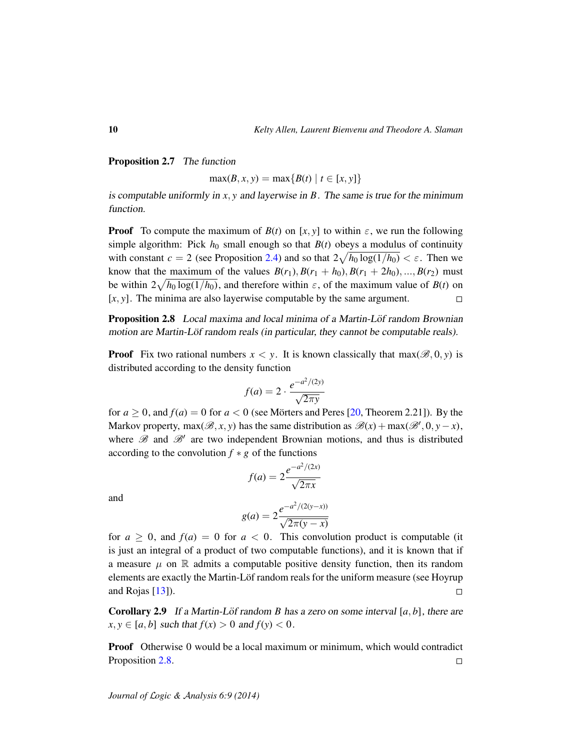#### Proposition 2.7 The function

 $max(B, x, y) = max{B(t) | t \in [x, y]}$ 

is computable uniformly in *x*, *y* and layerwise in *B*. The same is true for the minimum function.

**Proof** To compute the maximum of  $B(t)$  on [x, y] to within  $\varepsilon$ , we run the following simple algorithm: Pick  $h_0$  small enough so that  $B(t)$  obeys a modulus of continuity with constant  $c = 2$  (see Proposition [2.4\)](#page-6-0) and so that  $2\sqrt{h_0 \log(1/h_0)} < \varepsilon$ . Then we know that the maximum of the values  $B(r_1)$ ,  $B(r_1 + h_0)$ ,  $B(r_1 + 2h_0)$ , ...,  $B(r_2)$  must be within  $2\sqrt{h_0 \log(1/h_0)}$ , and therefore within  $\varepsilon$ , of the maximum value of *B*(*t*) on [*x*, *y*]. The minima are also layerwise computable by the same argument.  $\Box$ 

<span id="page-9-0"></span>Proposition 2.8 Local maxima and local minima of a Martin-Löf random Brownian motion are Martin-Löf random reals (in particular, they cannot be computable reals).

**Proof** Fix two rational numbers  $x < y$ . It is known classically that  $max(\mathcal{B}, 0, y)$  is distributed according to the density function

$$
f(a) = 2 \cdot \frac{e^{-a^2/(2y)}}{\sqrt{2\pi y}}
$$

for  $a \ge 0$ , and  $f(a) = 0$  for  $a < 0$  (see Mörters and Peres [[20,](#page-32-8) Theorem 2.21]). By the Markov property, max $(\mathscr{B}, x, y)$  has the same distribution as  $\mathscr{B}(x) + \max(\mathscr{B}', 0, y - x)$ , where  $\mathscr B$  and  $\mathscr B'$  are two independent Brownian motions, and thus is distributed according to the convolution  $f * g$  of the functions

$$
f(a) = 2 \frac{e^{-a^2/(2x)}}{\sqrt{2\pi x}}
$$

and

$$
g(a) = 2 \frac{e^{-a^2/(2(y-x))}}{\sqrt{2\pi(y-x)}}
$$

for  $a \geq 0$ , and  $f(a) = 0$  for  $a < 0$ . This convolution product is computable (it is just an integral of a product of two computable functions), and it is known that if a measure  $\mu$  on  $\mathbb R$  admits a computable positive density function, then its random elements are exactly the Martin-Löf random reals for the uniform measure (see Hoyrup and Rojas [\[13\]](#page-32-7)).  $\Box$ 

<span id="page-9-1"></span>**Corollary 2.9** If a Martin-Löf random B has a zero on some interval  $[a, b]$ , there are  $x, y \in [a, b]$  such that  $f(x) > 0$  and  $f(y) < 0$ .

**Proof** Otherwise 0 would be a local maximum or minimum, which would contradict Proposition [2.8.](#page-9-0)  $\Box$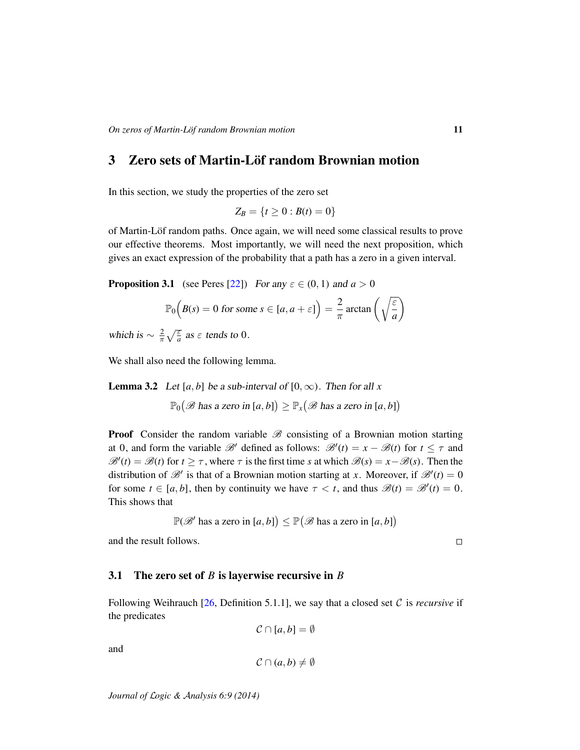# 3 Zero sets of Martin-Löf random Brownian motion

In this section, we study the properties of the zero set

$$
Z_B = \{t \ge 0 : B(t) = 0\}
$$

of Martin-Löf random paths. Once again, we will need some classical results to prove our effective theorems. Most importantly, we will need the next proposition, which gives an exact expression of the probability that a path has a zero in a given interval.

<span id="page-10-0"></span>**Proposition 3.1** (see Peres [\[22\]](#page-32-9)) For any  $\varepsilon \in (0, 1)$  and  $a > 0$ 

$$
\mathbb{P}_0\left(B(s) = 0 \text{ for some } s \in [a, a + \varepsilon]\right) = \frac{2}{\pi} \arctan\left(\sqrt{\frac{\varepsilon}{a}}\right)
$$

which is  $\sim \frac{2}{\pi} \sqrt{\frac{\varepsilon}{a}}$  as  $\varepsilon$  tends to 0.

We shall also need the following lemma.

<span id="page-10-1"></span>**Lemma 3.2** Let [a, b] be a sub-interval of  $[0, \infty)$ . Then for all x

 $\mathbb{P}_0(\mathscr{B}$  has a zero in  $[a, b]$   $\geq \mathbb{P}_x(\mathscr{B}$  has a zero in  $[a, b]$ )

**Proof** Consider the random variable  $\mathscr{B}$  consisting of a Brownian motion starting at 0, and form the variable  $\mathcal{B}'$  defined as follows:  $\mathcal{B}'(t) = x - \mathcal{B}(t)$  for  $t \leq \tau$  and  $\mathscr{B}'(t) = \mathscr{B}(t)$  for  $t \geq \tau$ , where  $\tau$  is the first time *s* at which  $\mathscr{B}(s) = x - \mathscr{B}(s)$ . Then the distribution of  $\mathcal{B}'$  is that of a Brownian motion starting at *x*. Moreover, if  $\mathcal{B}'(t) = 0$ for some  $t \in [a, b]$ , then by continuity we have  $\tau < t$ , and thus  $\mathcal{B}(t) = \mathcal{B}'(t) = 0$ . This shows that

$$
\mathbb{P}(\mathscr{B}' \text{ has a zero in } [a, b]) \leq \mathbb{P}(\mathscr{B} \text{ has a zero in } [a, b])
$$

and the result follows.

 $\Box$ 

## <span id="page-10-2"></span>3.1 The zero set of *B* is layerwise recursive in *B*

Following Weihrauch [\[26,](#page-33-0) Definition 5.1.1], we say that a closed set  $\mathcal C$  is *recursive* if the predicates

$$
\mathcal{C}\cap [a,b]=\emptyset
$$

and

$$
\mathcal{C}\cap(a,b)\neq\emptyset
$$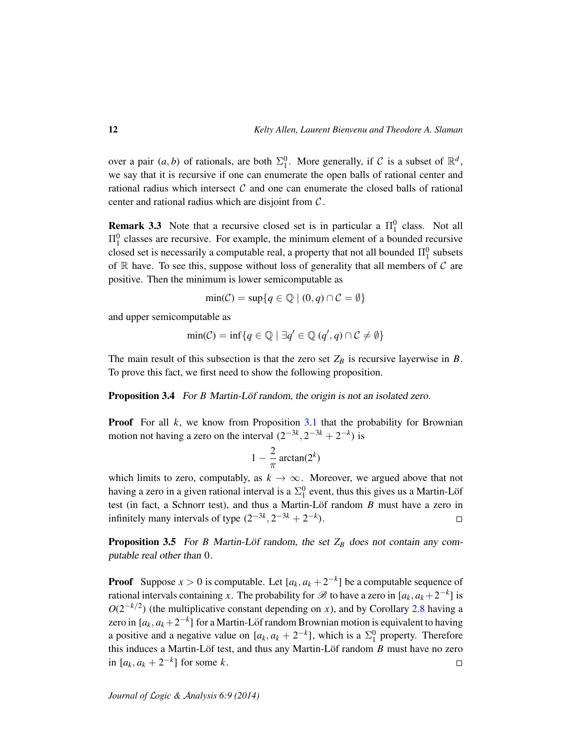over a pair  $(a, b)$  of rationals, are both  $\Sigma_1^0$ . More generally, if C is a subset of  $\mathbb{R}^d$ , we say that it is recursive if one can enumerate the open balls of rational center and rational radius which intersect  $C$  and one can enumerate the closed balls of rational center and rational radius which are disjoint from  $C$ .

<span id="page-11-2"></span>**Remark 3.3** Note that a recursive closed set is in particular a  $\Pi_1^0$  class. Not all  $\Pi_1^0$  classes are recursive. For example, the minimum element of a bounded recursive closed set is necessarily a computable real, a property that not all bounded  $\Pi^0_1$  subsets of  $\mathbb R$  have. To see this, suppose without loss of generality that all members of  $\mathcal C$  are positive. Then the minimum is lower semicomputable as

$$
\min(\mathcal{C}) = \sup\{q \in \mathbb{Q} \mid (0, q) \cap \mathcal{C} = \emptyset\}
$$

and upper semicomputable as

$$
\min(\mathcal{C}) = \inf\{q \in \mathbb{Q} \mid \exists q' \in \mathbb{Q} \ (q', q) \cap \mathcal{C} \neq \emptyset\}
$$

The main result of this subsection is that the zero set  $Z_B$  is recursive layerwise in  $B$ . To prove this fact, we first need to show the following proposition.

<span id="page-11-0"></span>Proposition 3.4 For *B* Martin-Löf random, the origin is not an isolated zero.

**Proof** For all *k*, we know from Proposition [3.1](#page-10-0) that the probability for Brownian motion not having a zero on the interval  $(2^{-3k}, 2^{-3k} + 2^{-k})$  is

$$
1-\frac{2}{\pi}\arctan(2^k)
$$

which limits to zero, computably, as  $k \to \infty$ . Moreover, we argued above that not having a zero in a given rational interval is a  $\Sigma_1^0$  event, thus this gives us a Martin-Löf test (in fact, a Schnorr test), and thus a Martin-Löf random *B* must have a zero in infinitely many intervals of type  $(2^{-3k}, 2^{-3k} + 2^{-k})$ .  $\Box$ 

<span id="page-11-1"></span>**Proposition 3.5** For *B* Martin-Löf random, the set  $Z_B$  does not contain any computable real other than 0.

**Proof** Suppose  $x > 0$  is computable. Let  $[a_k, a_k + 2^{-k}]$  be a computable sequence of rational intervals containing *x*. The probability for  $\mathscr B$  to have a zero in  $[a_k, a_k+2^{-k}]$  is  $O(2^{-k/2})$  (the multiplicative constant depending on *x*), and by Corollary [2.8](#page-9-0) having a zero in [ $a_k, a_k+2^{-k}$ ] for a Martin-Löf random Brownian motion is equivalent to having a positive and a negative value on  $[a_k, a_k + 2^{-k}]$ , which is a  $\Sigma_1^0$  property. Therefore this induces a Martin-Löf test, and thus any Martin-Löf random *B* must have no zero in  $[a_k, a_k + 2^{-k}]$  for some *k*.  $\Box$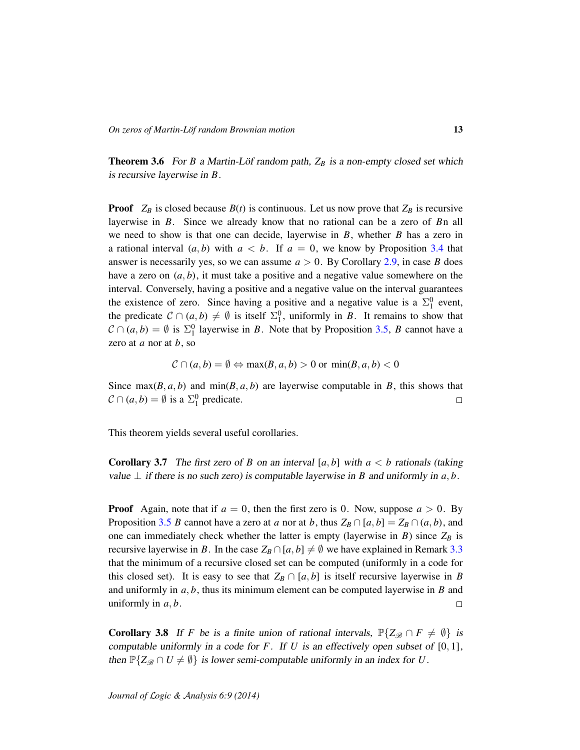<span id="page-12-0"></span>**Theorem 3.6** For *B* a Martin-Löf random path,  $Z_B$  is a non-empty closed set which is recursive layerwise in *B*.

**Proof**  $Z_B$  is closed because  $B(t)$  is continuous. Let us now prove that  $Z_B$  is recursive layerwise in *B*. Since we already know that no rational can be a zero of *B*n all we need to show is that one can decide, layerwise in *B*, whether *B* has a zero in a rational interval  $(a, b)$  with  $a < b$ . If  $a = 0$ , we know by Proposition [3.4](#page-11-0) that answer is necessarily yes, so we can assume  $a > 0$ . By Corollary [2.9,](#page-9-1) in case *B* does have a zero on  $(a, b)$ , it must take a positive and a negative value somewhere on the interval. Conversely, having a positive and a negative value on the interval guarantees the existence of zero. Since having a positive and a negative value is a  $\Sigma_1^0$  event, the predicate  $C \cap (a, b) \neq \emptyset$  is itself  $\Sigma_1^0$ , uniformly in *B*. It remains to show that  $\mathcal{C} \cap (a, b) = \emptyset$  is  $\Sigma_1^0$  layerwise in *B*. Note that by Proposition [3.5,](#page-11-1) *B* cannot have a zero at *a* nor at *b*, so

$$
\mathcal{C} \cap (a, b) = \emptyset \Leftrightarrow \max(B, a, b) > 0 \text{ or } \min(B, a, b) < 0
$$

Since  $max(B, a, b)$  and  $min(B, a, b)$  are layerwise computable in *B*, this shows that  $C \cap (a, b) = \emptyset$  is a  $\Sigma_1^0$  predicate.  $\Box$ 

This theorem yields several useful corollaries.

<span id="page-12-1"></span>**Corollary 3.7** The first zero of *B* on an interval  $[a, b]$  with  $a < b$  rationals (taking value  $⊥$  if there is no such zero) is computable layerwise in *B* and uniformly in *a*, *b*.

**Proof** Again, note that if  $a = 0$ , then the first zero is 0. Now, suppose  $a > 0$ . By Proposition [3.5](#page-11-1) *B* cannot have a zero at *a* nor at *b*, thus  $Z_B \cap [a, b] = Z_B \cap (a, b)$ , and one can immediately check whether the latter is empty (layerwise in  $B$ ) since  $Z_B$  is recursive layerwise in *B*. In the case  $Z_B \cap [a, b] \neq \emptyset$  we have explained in Remark [3.3](#page-11-2) that the minimum of a recursive closed set can be computed (uniformly in a code for this closed set). It is easy to see that  $Z_B \cap [a, b]$  is itself recursive layerwise in *B* and uniformly in *a*, *b*, thus its minimum element can be computed layerwise in *B* and uniformly in *a*, *b*.  $\Box$ 

**Corollary 3.8** If *F* be is a finite union of rational intervals,  $\mathbb{P}\{Z_{\mathscr{B}} \cap F \neq \emptyset\}$  is computable uniformly in a code for *F*. If *U* is an effectively open subset of [0, 1], then  $\mathbb{P}\{Z_{\mathscr{B}} \cap U \neq \emptyset\}$  is lower semi-computable uniformly in an index for *U*.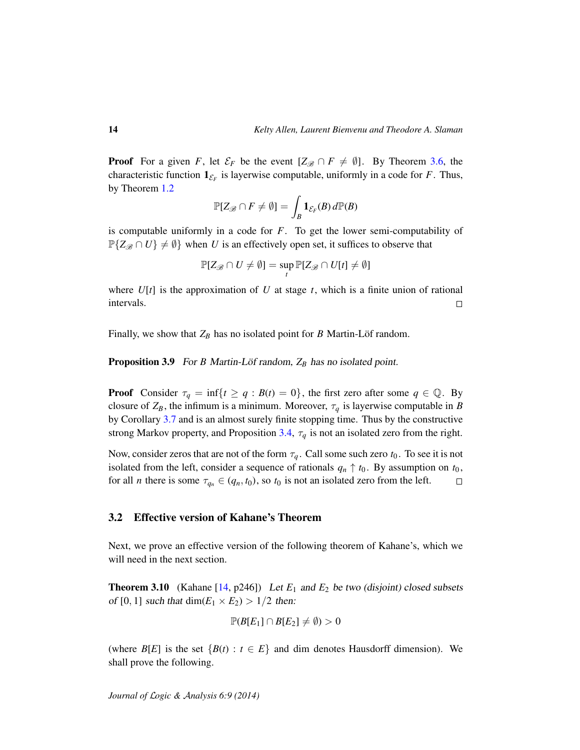**Proof** For a given *F*, let  $\mathcal{E}_F$  be the event  $[Z_{\mathscr{B}} \cap F \neq \emptyset]$ . By Theorem [3.6,](#page-12-0) the characteristic function  $\mathbf{1}_{\mathcal{E}_F}$  is layerwise computable, uniformly in a code for *F*. Thus, by Theorem [1.2](#page-4-0)

$$
\mathbb{P}[Z_{\mathscr{B}} \cap F \neq \emptyset] = \int_B \mathbf{1}_{\mathcal{E}_F}(B) d\mathbb{P}(B)
$$

is computable uniformly in a code for *F*. To get the lower semi-computability of  $\mathbb{P}\{Z_{\mathscr{B}} \cap U\} \neq \emptyset$  when *U* is an effectively open set, it suffices to observe that

$$
\mathbb{P}[Z_{\mathscr{B}} \cap U \neq \emptyset] = \sup_{t} \mathbb{P}[Z_{\mathscr{B}} \cap U[t] \neq \emptyset]
$$

where  $U[t]$  is the approximation of U at stage t, which is a finite union of rational intervals.  $\Box$ 

Finally, we show that  $Z_B$  has no isolated point for *B* Martin-Löf random.

**Proposition 3.9** For *B* Martin-Löf random,  $Z_B$  has no isolated point.

**Proof** Consider  $\tau_q = \inf\{t \ge q : B(t) = 0\}$ , the first zero after some  $q \in \mathbb{Q}$ . By closure of  $Z_B$ , the infimum is a minimum. Moreover,  $\tau_q$  is layerwise computable in *B* by Corollary [3.7](#page-12-1) and is an almost surely finite stopping time. Thus by the constructive strong Markov property, and Proposition [3.4,](#page-11-0)  $\tau_q$  is not an isolated zero from the right.

Now, consider zeros that are not of the form  $\tau_q$ . Call some such zero  $t_0$ . To see it is not isolated from the left, consider a sequence of rationals  $q_n \uparrow t_0$ . By assumption on  $t_0$ , for all *n* there is some  $\tau_{q_n} \in (q_n, t_0)$ , so  $t_0$  is not an isolated zero from the left.  $\Box$ 

#### 3.2 Effective version of Kahane's Theorem

Next, we prove an effective version of the following theorem of Kahane's, which we will need in the next section.

**Theorem 3.10** (Kahane [\[14,](#page-32-10) p246]) Let  $E_1$  and  $E_2$  be two (disjoint) closed subsets of [0, 1] such that dim( $E_1 \times E_2$ ) > 1/2 then:

$$
\mathbb{P}(B[E_1] \cap B[E_2] \neq \emptyset) > 0
$$

(where  $B[E]$  is the set  ${B(t) : t \in E}$  and dim denotes Hausdorff dimension). We shall prove the following.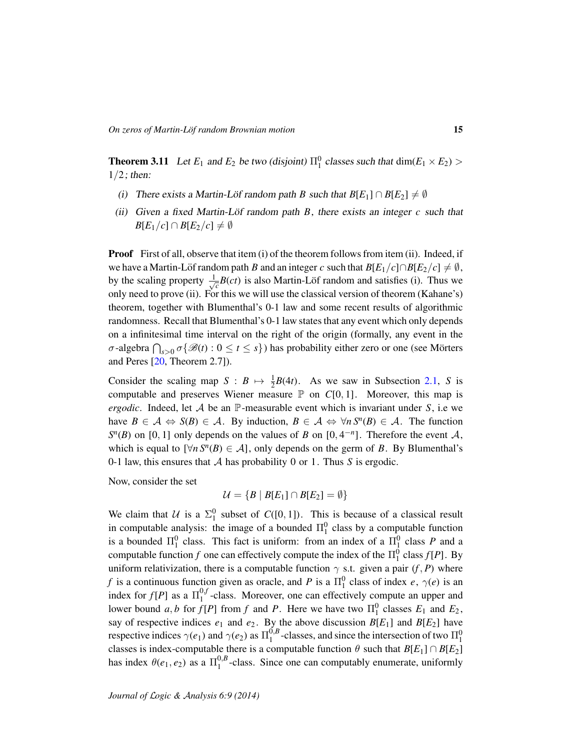<span id="page-14-0"></span>**Theorem 3.11** Let  $E_1$  and  $E_2$  be two (disjoint)  $\Pi_1^0$  classes such that  $\dim(E_1 \times E_2)$  $1/2$ ; then:

- (i) There exists a Martin-Löf random path B such that  $B[E_1] \cap B[E_2] \neq \emptyset$
- (ii) Given a fixed Martin-Löf random path  $\overline{B}$ , there exists an integer  $\overline{c}$  such that *B*[ $E_1/c$ ] ∩ *B*[ $E_2/c$ ]  $\neq \emptyset$

**Proof** First of all, observe that item (i) of the theorem follows from item (ii). Indeed, if we have a Martin-Löf random path *B* and an integer *c* such that  $B[E_1/c] \cap B[E_2/c] \neq \emptyset$ , by the scaling property  $\frac{1}{\sqrt{2}}$  $\bar{c}^{B(ct)}$  is also Martin-Löf random and satisfies (i). Thus we only need to prove (ii). For this we will use the classical version of theorem (Kahane's) theorem, together with Blumenthal's 0-1 law and some recent results of algorithmic randomness. Recall that Blumenthal's 0-1 law states that any event which only depends on a infinitesimal time interval on the right of the origin (formally, any event in the *σ*-algebra  $\bigcap_{s>0} \sigma \{\mathscr{B}(t): 0 \le t \le s\}$ ) has probability either zero or one (see Mörters and Peres [\[20,](#page-32-8) Theorem 2.7]).

Consider the scaling map  $S : B \mapsto \frac{1}{2}B(4t)$ . As we saw in Subsection [2.1,](#page-4-1) *S* is computable and preserves Wiener measure  $\mathbb P$  on  $C[0, 1]$ . Moreover, this map is *ergodic*. Indeed, let  $A$  be an  $\mathbb{P}$ -measurable event which is invariant under  $S$ , i.e we have  $B \in \mathcal{A} \Leftrightarrow S(B) \in \mathcal{A}$ . By induction,  $B \in \mathcal{A} \Leftrightarrow \forall n S^n(B) \in \mathcal{A}$ . The function  $S<sup>n</sup>(B)$  on [0, 1] only depends on the values of *B* on [0, 4<sup>-*n*</sup>]. Therefore the event A, which is equal to  $[\forall n S^n(B) \in \mathcal{A}]$ , only depends on the germ of *B*. By Blumenthal's 0-1 law, this ensures that A has probability 0 or 1. Thus *S* is ergodic.

Now, consider the set

 $\mathcal{U} = \{B \mid B[E_1] \cap B[E_2] = \emptyset\}$ 

We claim that U is a  $\Sigma_1^0$  subset of  $C([0, 1])$ . This is because of a classical result in computable analysis: the image of a bounded  $\Pi_1^0$  class by a computable function is a bounded  $\Pi_1^0$  class. This fact is uniform: from an index of a  $\Pi_1^0$  class *P* and a computable function *f* one can effectively compute the index of the  $\Pi_1^0$  class  $f[P]$ . By uniform relativization, there is a computable function  $\gamma$  s.t. given a pair  $(f, P)$  where *f* is a continuous function given as oracle, and *P* is a  $\Pi_1^0$  class of index *e*,  $\gamma(e)$  is an index for  $f[P]$  as a  $\Pi_1^{0,f}$  $_{1}^{\sigma}$ -class. Moreover, one can effectively compute an upper and lower bound  $a, b$  for  $f[P]$  from  $f$  and  $P$ . Here we have two  $\Pi_1^0$  classes  $E_1$  and  $E_2$ , say of respective indices  $e_1$  and  $e_2$ . By the above discussion  $B[E_1]$  and  $B[E_2]$  have respective indices  $\gamma(e_1)$  and  $\gamma(e_2)$  as  $\Pi_1^{0,B}$  $_{1}^{0,B}$ -classes, and since the intersection of two  $\Pi_{1}^{0}$ classes is index-computable there is a computable function  $\theta$  such that  $B[E_1] \cap B[E_2]$ has index  $\theta(e_1, e_2)$  as a  $\Pi_1^{0,B}$  $_{1}^{\sigma, b}$ -class. Since one can computably enumerate, uniformly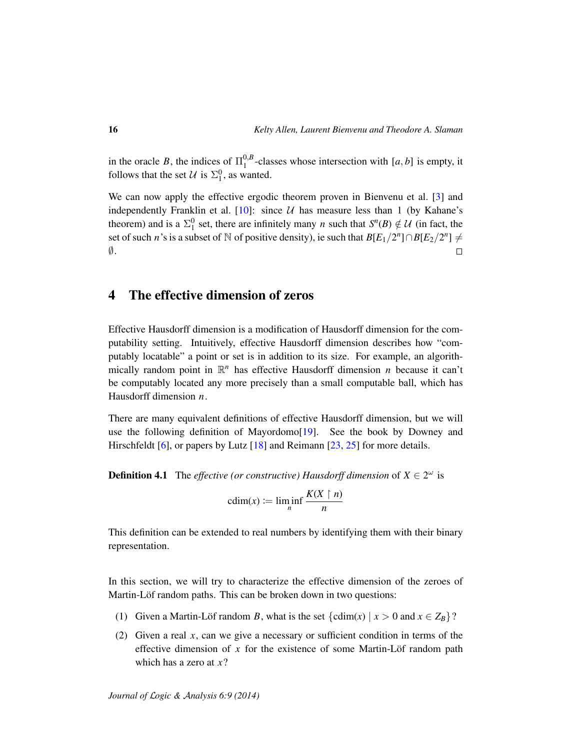in the oracle *B*, the indices of  $\Pi_1^{0,B}$  $\int_{1}^{\infty}$ -classes whose intersection with [*a*, *b*] is empty, it follows that the set  $\mathcal{U}$  is  $\Sigma_1^0$ , as wanted.

We can now apply the effective ergodic theorem proven in Bienvenu et al. [\[3\]](#page-31-4) and independently Franklin et al. [\[10\]](#page-32-11): since  $U$  has measure less than 1 (by Kahane's theorem) and is a  $\Sigma_1^0$  set, there are infinitely many *n* such that  $S^n(B) \notin \mathcal{U}$  (in fact, the set of such *n*'s is a subset of N of positive density), ie such that  $B[E_1/2^n] \cap B[E_2/2^n] \neq 0$  $\emptyset$ .  $\Box$ 

# 4 The effective dimension of zeros

Effective Hausdorff dimension is a modification of Hausdorff dimension for the computability setting. Intuitively, effective Hausdorff dimension describes how "computably locatable" a point or set is in addition to its size. For example, an algorithmically random point in  $\mathbb{R}^n$  has effective Hausdorff dimension *n* because it can't be computably located any more precisely than a small computable ball, which has Hausdorff dimension *n*.

There are many equivalent definitions of effective Hausdorff dimension, but we will use the following definition of Mayordomo[\[19\]](#page-32-12). See the book by Downey and Hirschfeldt [\[6\]](#page-31-3), or papers by Lutz [\[18\]](#page-32-13) and Reimann [\[23,](#page-32-14) [25\]](#page-32-15) for more details.

**Definition 4.1** The *effective (or constructive) Hausdorff dimension* of  $X \in 2^{\omega}$  is

$$
cdim(x) := \liminf_{n} \frac{K(X \mid n)}{n}
$$

This definition can be extended to real numbers by identifying them with their binary representation.

In this section, we will try to characterize the effective dimension of the zeroes of Martin-Löf random paths. This can be broken down in two questions:

- (1) Given a Martin-Löf random *B*, what is the set  $\{\text{cdim}(x) \mid x > 0 \text{ and } x \in Z_B\}$ ?
- (2) Given a real *x*, can we give a necessary or sufficient condition in terms of the effective dimension of x for the existence of some Martin-Löf random path which has a zero at *x*?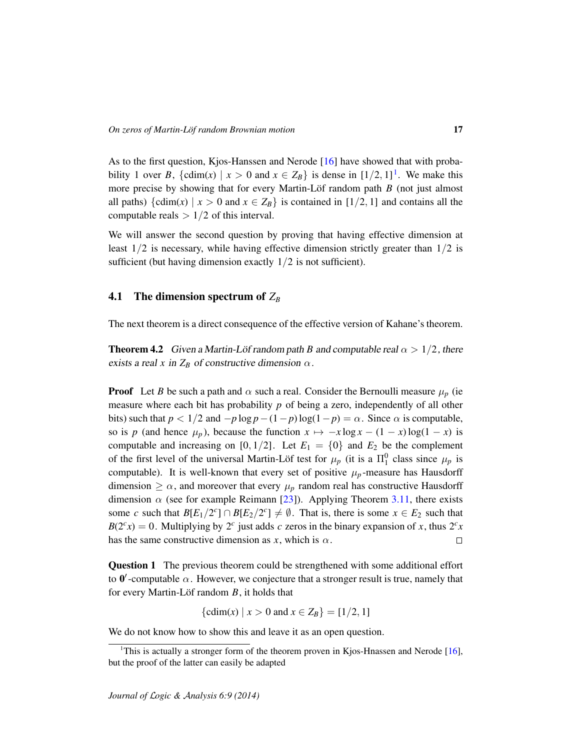As to the first question, Kjos-Hanssen and Nerode [\[16\]](#page-32-2) have showed that with proba-bility [1](#page-16-0) over *B*, {cdim(*x*) |  $x > 0$  and  $x \in Z_B$ } is dense in  $\left[\frac{1}{2}, 1\right]$ . We make this more precise by showing that for every Martin-Löf random path  $B$  (not just almost all paths)  $\{\text{cdim}(x) \mid x > 0 \text{ and } x \in Z_B\}$  is contained in [1/2, 1] and contains all the computable reals  $> 1/2$  of this interval.

We will answer the second question by proving that having effective dimension at least  $1/2$  is necessary, while having effective dimension strictly greater than  $1/2$  is sufficient (but having dimension exactly  $1/2$  is not sufficient).

## 4.1 The dimension spectrum of *Z<sup>B</sup>*

The next theorem is a direct consequence of the effective version of Kahane's theorem.

**Theorem 4.2** Given a Martin-Löf random path B and computable real  $\alpha > 1/2$ , there exists a real *x* in  $Z_B$  of constructive dimension  $\alpha$ .

**Proof** Let *B* be such a path and  $\alpha$  such a real. Consider the Bernoulli measure  $\mu_p$  (ie measure where each bit has probability *p* of being a zero, independently of all other bits) such that  $p < 1/2$  and  $-p \log p - (1-p) \log(1-p) = \alpha$ . Since  $\alpha$  is computable, so is *p* (and hence  $\mu_p$ ), because the function  $x \mapsto -x \log x - (1 - x) \log(1 - x)$  is computable and increasing on [0, 1/2]. Let  $E_1 = \{0\}$  and  $E_2$  be the complement of the first level of the universal Martin-Löf test for  $\mu_p$  (it is a  $\Pi_1^0$  class since  $\mu_p$  is computable). It is well-known that every set of positive  $\mu_p$ -measure has Hausdorff dimension  $\geq \alpha$ , and moreover that every  $\mu_p$  random real has constructive Hausdorff dimension  $\alpha$  (see for example Reimann [\[23\]](#page-32-14)). Applying Theorem [3.11,](#page-14-0) there exists some *c* such that  $B[E_1/2^c] \cap B[E_2/2^c] \neq \emptyset$ . That is, there is some  $x \in E_2$  such that  $B(2<sup>c</sup>x) = 0$ . Multiplying by 2<sup>*c*</sup> just adds *c* zeros in the binary expansion of *x*, thus  $2<sup>c</sup>x$ has the same constructive dimension as  $x$ , which is  $\alpha$ .  $\Box$ 

Question 1 The previous theorem could be strengthened with some additional effort to  $0'$ -computable  $\alpha$ . However, we conjecture that a stronger result is true, namely that for every Martin-Löf random  $B$ , it holds that

 $\{\text{cdim}(x) \mid x > 0 \text{ and } x \in Z_B\} = [1/2, 1]$ 

We do not know how to show this and leave it as an open question.

<span id="page-16-0"></span><sup>&</sup>lt;sup>1</sup>This is actually a stronger form of the theorem proven in Kjos-Hnassen and Nerode  $[16]$ , but the proof of the latter can easily be adapted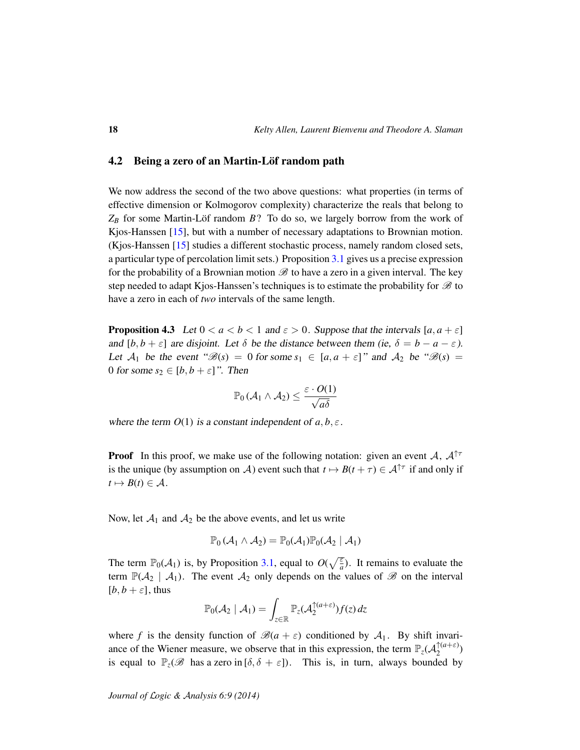## 4.2 Being a zero of an Martin-Löf random path

We now address the second of the two above questions: what properties (in terms of effective dimension or Kolmogorov complexity) characterize the reals that belong to  $Z_B$  for some Martin-Löf random  $B$ ? To do so, we largely borrow from the work of Kjos-Hanssen [\[15\]](#page-32-16), but with a number of necessary adaptations to Brownian motion. (Kjos-Hanssen [\[15\]](#page-32-16) studies a different stochastic process, namely random closed sets, a particular type of percolation limit sets.) Proposition [3.1](#page-10-0) gives us a precise expression for the probability of a Brownian motion  $\mathscr B$  to have a zero in a given interval. The key step needed to adapt Kjos-Hanssen's techniques is to estimate the probability for  $\mathscr B$  to have a zero in each of *two* intervals of the same length.

<span id="page-17-0"></span>**Proposition 4.3** Let  $0 < a < b < 1$  and  $\varepsilon > 0$ . Suppose that the intervals  $[a, a + \varepsilon]$ and  $[b, b + \varepsilon]$  are disjoint. Let  $\delta$  be the distance between them (ie,  $\delta = b - a - \varepsilon$ ). Let  $A_1$  be the event " $\mathscr{B}(s) = 0$  for some  $s_1 \in [a, a + \varepsilon]$ " and  $A_2$  be " $\mathscr{B}(s) =$ 0 for some  $s_2 \in [b, b + \varepsilon]$ ". Then

$$
\mathbb{P}_0\left(\mathcal{A}_1 \wedge \mathcal{A}_2\right) \leq \frac{\varepsilon \cdot O(1)}{\sqrt{a\delta}}
$$

where the term  $O(1)$  is a constant independent of  $a, b, \varepsilon$ .

**Proof** In this proof, we make use of the following notation: given an event A,  $A^{\dagger \tau}$ is the unique (by assumption on A) event such that  $t \mapsto B(t + \tau) \in A^{\uparrow \tau}$  if and only if  $t \mapsto B(t) \in \mathcal{A}.$ 

Now, let  $A_1$  and  $A_2$  be the above events, and let us write

$$
\mathbb{P}_0(\mathcal{A}_1 \wedge \mathcal{A}_2) = \mathbb{P}_0(\mathcal{A}_1)\mathbb{P}_0(\mathcal{A}_2 \mid \mathcal{A}_1)
$$

The term  $\mathbb{P}_0(\mathcal{A}_1)$  is, by Proposition [3.1,](#page-10-0) equal to  $O(\sqrt{\frac{\varepsilon}{a}})$ . It remains to evaluate the term  $\mathbb{P}(\mathcal{A}_2 | \mathcal{A}_1)$ . The event  $\mathcal{A}_2$  only depends on the values of  $\mathscr{B}$  on the interval  $[b, b + \varepsilon]$ , thus

$$
\mathbb{P}_0(\mathcal{A}_2 \mid \mathcal{A}_1) = \int_{z \in \mathbb{R}} \mathbb{P}_z(\mathcal{A}_2^{\uparrow(a+\varepsilon)}) f(z) \, dz
$$

where *f* is the density function of  $\mathcal{B}(a + \varepsilon)$  conditioned by  $A_1$ . By shift invariance of the Wiener measure, we observe that in this expression, the term  $\mathbb{P}_z(\mathcal{A}_2^{\uparrow(a+\varepsilon)})$  $\binom{(a+\varepsilon)}{2}$ is equal to  $\mathbb{P}_z(\mathscr{B}$  has a zero in  $[\delta, \delta + \varepsilon]$ ). This is, in turn, always bounded by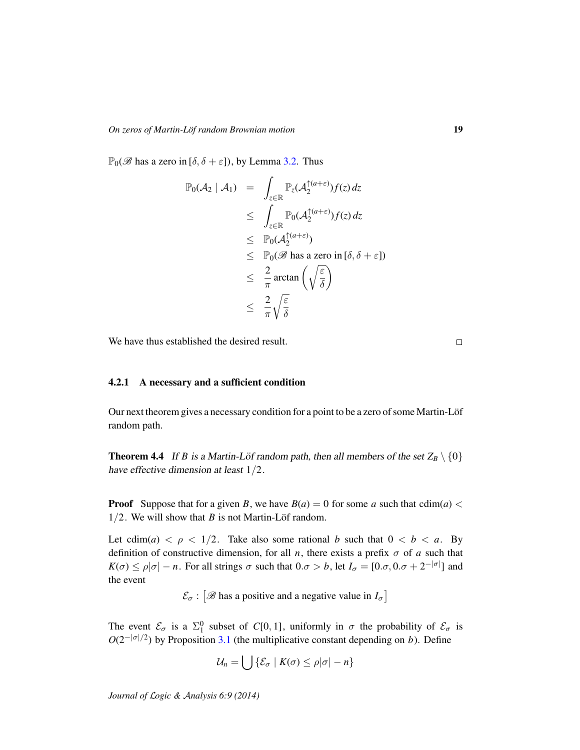$\mathbb{P}_0(\mathscr{B}$  has a zero in  $[\delta, \delta + \varepsilon]$ ), by Lemma [3.2.](#page-10-1) Thus

$$
\mathbb{P}_0(\mathcal{A}_2 \mid \mathcal{A}_1) = \int_{z \in \mathbb{R}} \mathbb{P}_z(\mathcal{A}_2^{\uparrow(a+\varepsilon)}) f(z) dz
$$
\n
$$
\leq \int_{z \in \mathbb{R}} \mathbb{P}_0(\mathcal{A}_2^{\uparrow(a+\varepsilon)}) f(z) dz
$$
\n
$$
\leq \mathbb{P}_0(\mathcal{A}_2^{\uparrow(a+\varepsilon)})
$$
\n
$$
\leq \mathbb{P}_0(\mathscr{B} \text{ has a zero in } [\delta, \delta + \varepsilon])
$$
\n
$$
\leq \frac{2}{\pi} \arctan\left(\sqrt{\frac{\varepsilon}{\delta}}\right)
$$
\n
$$
\leq \frac{2}{\pi} \sqrt{\frac{\varepsilon}{\delta}}
$$

We have thus established the desired result.

# 4.2.1 A necessary and a sufficient condition

Our next theorem gives a necessary condition for a point to be a zero of some Martin-Löf random path.

<span id="page-18-0"></span>**Theorem 4.4** If *B* is a Martin-Löf random path, then all members of the set  $Z_B \setminus \{0\}$ have effective dimension at least 1/2.

**Proof** Suppose that for a given *B*, we have  $B(a) = 0$  for some *a* such that  $\text{cdim}(a) <$  $1/2$ . We will show that *B* is not Martin-Löf random.

Let  $\text{cdim}(a) < \rho < 1/2$ . Take also some rational *b* such that  $0 < b < a$ . By definition of constructive dimension, for all *n*, there exists a prefix  $\sigma$  of *a* such that  $K(\sigma) \le \rho |\sigma| - n$ . For all strings  $\sigma$  such that  $0.\sigma > b$ , let  $I_{\sigma} = [0.\sigma, 0.\sigma + 2^{-|\sigma|}]$  and the event

 $\mathcal{E}_{\sigma}$ :  $\left[\mathcal{B}$  has a positive and a negative value in  $I_{\sigma}\right]$ 

The event  $\mathcal{E}_{\sigma}$  is a  $\Sigma_1^0$  subset of *C*[0, 1], uniformly in  $\sigma$  the probability of  $\mathcal{E}_{\sigma}$  is  $O(2^{-|\sigma|/2})$  by Proposition [3.1](#page-10-0) (the multiplicative constant depending on *b*). Define

$$
\mathcal{U}_n = \bigcup \{ \mathcal{E}_{\sigma} \mid K(\sigma) \leq \rho |\sigma| - n \}
$$

*Journal of* L*ogic &* A*nalysis 6:9 (2014)*

 $\Box$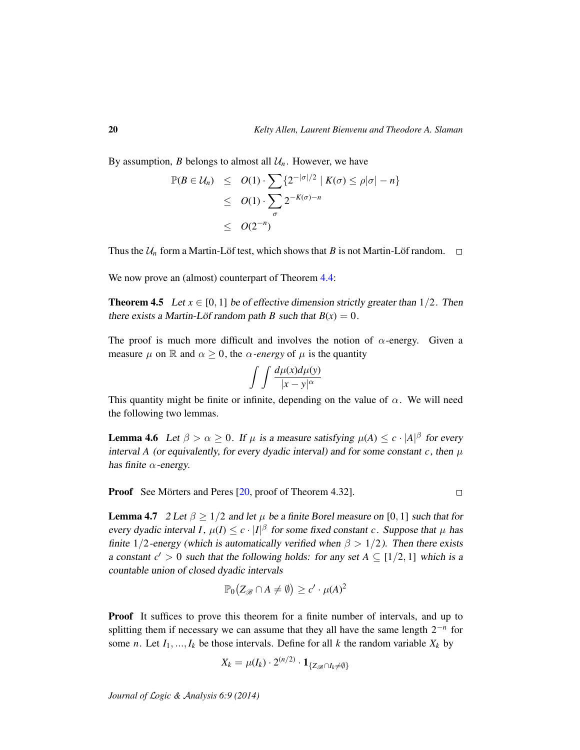By assumption, *B* belongs to almost all  $\mathcal{U}_n$ . However, we have

$$
\mathbb{P}(B \in \mathcal{U}_n) \leq O(1) \cdot \sum_{\sigma} \{2^{-|\sigma|/2} \mid K(\sigma) \leq \rho |\sigma| - n\}
$$
  
 
$$
\leq O(1) \cdot \sum_{\sigma} 2^{-K(\sigma) - n}
$$
  
 
$$
\leq O(2^{-n})
$$

Thus the  $U_n$  form a Martin-Löf test, which shows that B is not Martin-Löf random.  $\square$ 

We now prove an (almost) counterpart of Theorem [4.4:](#page-18-0)

<span id="page-19-0"></span>**Theorem 4.5** Let  $x \in [0, 1]$  be of effective dimension strictly greater than  $1/2$ . Then there exists a Martin-Löf random path *B* such that  $B(x) = 0$ .

The proof is much more difficult and involves the notion of  $\alpha$ -energy. Given a measure  $\mu$  on  $\mathbb R$  and  $\alpha \geq 0$ , the  $\alpha$ -energy of  $\mu$  is the quantity

$$
\int \int \frac{d\mu(x)d\mu(y)}{|x-y|^{\alpha}}
$$

This quantity might be finite or infinite, depending on the value of  $\alpha$ . We will need the following two lemmas.

<span id="page-19-2"></span>**Lemma 4.6** Let  $\beta > \alpha \ge 0$ . If  $\mu$  is a measure satisfying  $\mu(A) \le c \cdot |A|^{\beta}$  for every interval *A* (or equivalently, for every dyadic interval) and for some constant  $c$ , then  $\mu$ has finite  $\alpha$ -energy.

**Proof** See Mörters and Peres [[20,](#page-32-8) proof of Theorem 4.32].  $\Box$ 

<span id="page-19-1"></span>**Lemma 4.7** 2 Let  $\beta > 1/2$  and let  $\mu$  be a finite Borel measure on [0, 1] such that for every dyadic interval *I*,  $\mu(I) \leq c \cdot |I|^{\beta}$  for some fixed constant *c*. Suppose that  $\mu$  has finite 1/2-energy (which is automatically verified when  $\beta > 1/2$ ). Then there exists a constant  $c' > 0$  such that the following holds: for any set  $A \subseteq [1/2, 1]$  which is a countable union of closed dyadic intervals

$$
\mathbb{P}_0(Z_{\mathscr{B}} \cap A \neq \emptyset) \geq c' \cdot \mu(A)^2
$$

**Proof** It suffices to prove this theorem for a finite number of intervals, and up to splitting them if necessary we can assume that they all have the same length 2−*<sup>n</sup>* for some *n*. Let  $I_1, ..., I_k$  be those intervals. Define for all *k* the random variable  $X_k$  by

$$
X_k = \mu(I_k) \cdot 2^{(n/2)} \cdot \mathbf{1}_{\{Z_{\mathscr{B}} \cap I_k \neq \emptyset\}}
$$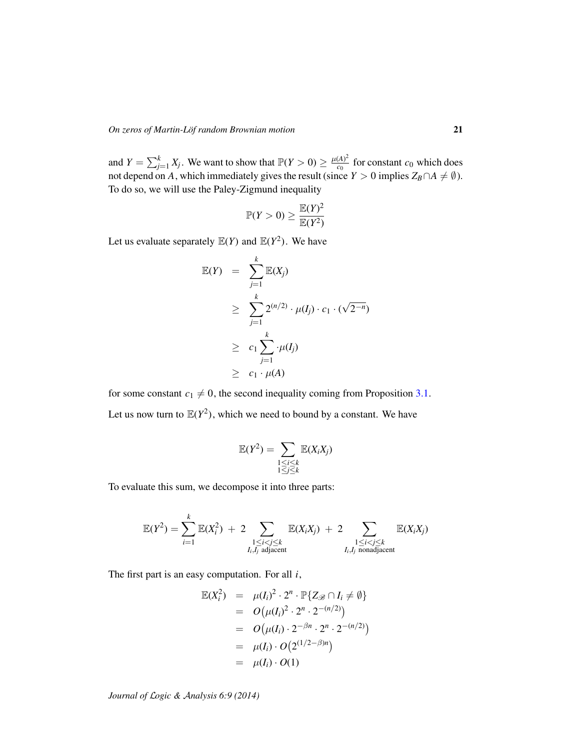#### *On zeros of Martin-Löf random Brownian motion* **21**

and  $Y = \sum_{j=1}^{k} X_j$ . We want to show that  $\mathbb{P}(Y > 0) \ge \frac{\mu(A)^2}{c_0}$  $\frac{(A)^2}{c_0}$  for constant  $c_0$  which does not depend on *A*, which immediately gives the result (since  $Y > 0$  implies  $Z_B \cap A \neq \emptyset$ ). To do so, we will use the Paley-Zigmund inequality

$$
\mathbb{P}(Y>0)\geq \frac{\mathbb{E}(Y)^2}{\mathbb{E}(Y^2)}
$$

Let us evaluate separately  $\mathbb{E}(Y)$  and  $\mathbb{E}(Y^2)$ . We have

$$
\mathbb{E}(Y) = \sum_{j=1}^{k} \mathbb{E}(X_j)
$$
  
\n
$$
\geq \sum_{j=1}^{k} 2^{(n/2)} \cdot \mu(I_j) \cdot c_1 \cdot (\sqrt{2^{-n}})
$$
  
\n
$$
\geq c_1 \sum_{j=1}^{k} \cdot \mu(I_j)
$$
  
\n
$$
\geq c_1 \cdot \mu(A)
$$

for some constant  $c_1 \neq 0$ , the second inequality coming from Proposition [3.1.](#page-10-0) Let us now turn to  $\mathbb{E}(Y^2)$ , which we need to bound by a constant. We have

$$
\mathbb{E}(Y^2) = \sum_{\substack{1 \le i \le k \\ 1 \le j \le k}} \mathbb{E}(X_i X_j)
$$

To evaluate this sum, we decompose it into three parts:

$$
\mathbb{E}(Y^2) = \sum_{i=1}^k \mathbb{E}(X_i^2) + 2 \sum_{\substack{1 \le i < j \le k \\ I_i, I_j \text{ adjacent}}} \mathbb{E}(X_i X_j) + 2 \sum_{\substack{1 \le i < j \le k \\ I_i, I_j \text{ nonadjacent}}} \mathbb{E}(X_i X_j)
$$

The first part is an easy computation. For all *i*,

$$
\mathbb{E}(X_i^2) = \mu(I_i)^2 \cdot 2^n \cdot \mathbb{P}\{Z_{\mathscr{B}} \cap I_i \neq \emptyset\} \n= O(\mu(I_i)^2 \cdot 2^n \cdot 2^{-(n/2)}) \n= O(\mu(I_i) \cdot 2^{-\beta n} \cdot 2^n \cdot 2^{-(n/2)}) \n= \mu(I_i) \cdot O(2^{(1/2-\beta)n}) \n= \mu(I_i) \cdot O(1)
$$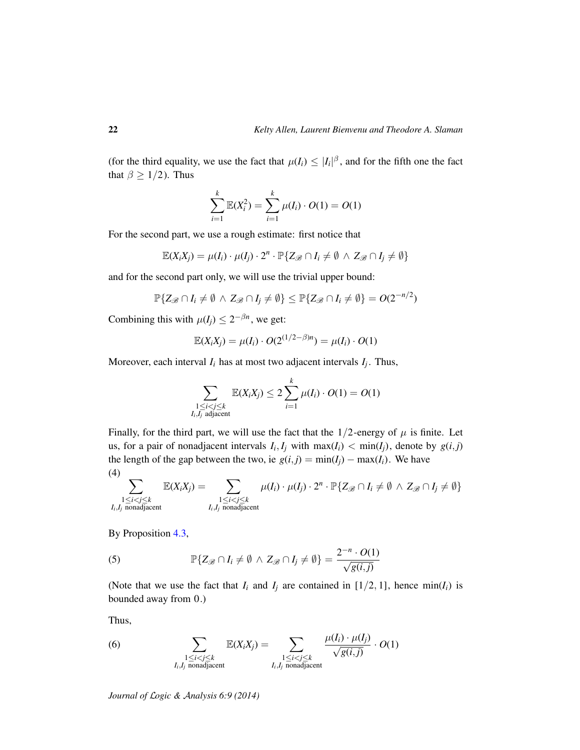(for the third equality, we use the fact that  $\mu(I_i) \leq |I_i|^{\beta}$ , and for the fifth one the fact that  $\beta \geq 1/2$ ). Thus

$$
\sum_{i=1}^{k} \mathbb{E}(X_i^2) = \sum_{i=1}^{k} \mu(I_i) \cdot O(1) = O(1)
$$

For the second part, we use a rough estimate: first notice that

$$
\mathbb{E}(X_iX_j) = \mu(I_i) \cdot \mu(I_j) \cdot 2^n \cdot \mathbb{P}\{Z_{\mathscr{B}} \cap I_i \neq \emptyset \land Z_{\mathscr{B}} \cap I_j \neq \emptyset\}
$$

and for the second part only, we will use the trivial upper bound:

$$
\mathbb{P}\{Z_{\mathscr{B}}\cap I_i\neq\emptyset\,\wedge\,Z_{\mathscr{B}}\cap I_j\neq\emptyset\}\leq\mathbb{P}\{Z_{\mathscr{B}}\cap I_i\neq\emptyset\}=O(2^{-n/2})
$$

Combining this with  $\mu(I_j) \leq 2^{-\beta n}$ , we get:

$$
\mathbb{E}(X_iX_j) = \mu(I_i) \cdot O(2^{(1/2 - \beta)n}) = \mu(I_i) \cdot O(1)
$$

Moreover, each interval *I<sup>i</sup>* has at most two adjacent intervals *I<sup>j</sup>* . Thus,

$$
\sum_{\substack{1 \leq i < j \leq k \\ I_i, I_j \text{ adjacent}}} \mathbb{E}(X_i X_j) \leq 2 \sum_{i=1}^k \mu(I_i) \cdot O(1) = O(1)
$$

Finally, for the third part, we will use the fact that the  $1/2$ -energy of  $\mu$  is finite. Let us, for a pair of nonadjacent intervals  $I_i, I_j$  with  $max(I_i) < min(I_j)$ , denote by  $g(i, j)$ the length of the gap between the two, ie  $g(i, j) = min(I_j) - max(I_i)$ . We have (4)

$$
\sum_{\substack{1 \leq i < j \leq k \\ I_i, I_j \text{ nonadjacent}}} \mathbb{E}(X_i X_j) = \sum_{\substack{1 \leq i < j \leq k \\ I_i, I_j \text{ nonadjacent}}} \mu(I_i) \cdot \mu(I_j) \cdot 2^n \cdot \mathbb{P}\{Z_{\mathscr{B}} \cap I_i \neq \emptyset \land Z_{\mathscr{B}} \cap I_j \neq \emptyset\}
$$

By Proposition [4.3,](#page-17-0)

(5) 
$$
\mathbb{P}\{Z_{\mathscr{B}} \cap I_i \neq \emptyset \land Z_{\mathscr{B}} \cap I_j \neq \emptyset\} = \frac{2^{-n} \cdot O(1)}{\sqrt{g(i,j)}}
$$

(Note that we use the fact that  $I_i$  and  $I_j$  are contained in  $[1/2, 1]$ , hence min( $I_i$ ) is bounded away from 0.)

Thus,

(6) 
$$
\sum_{\substack{1 \le i < j \le k \\ I_i, I_j \text{ nonadjacent}}} \mathbb{E}(X_i X_j) = \sum_{\substack{1 \le i < j \le k \\ I_i, I_j \text{ nonadjacent}}} \frac{\mu(I_i) \cdot \mu(I_j)}{\sqrt{g(i,j)}} \cdot O(1)
$$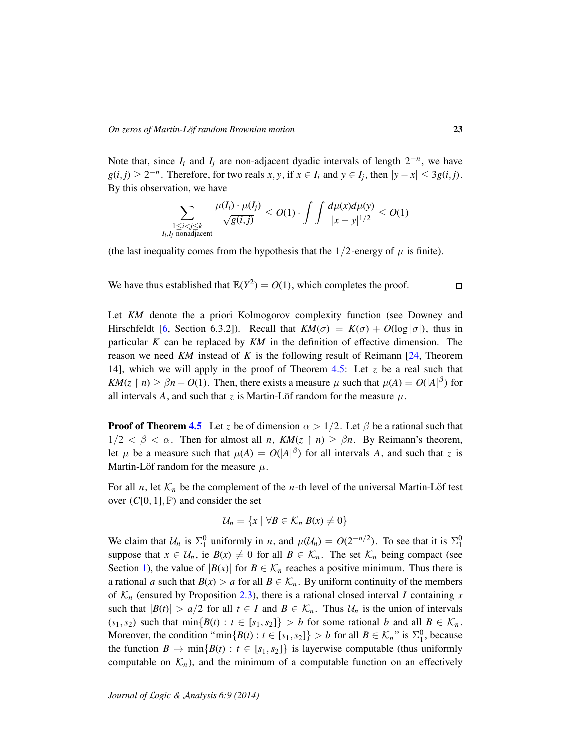Note that, since  $I_i$  and  $I_j$  are non-adjacent dyadic intervals of length  $2^{-n}$ , we have  $g(i,j) \geq 2^{-n}$ . Therefore, for two reals *x*, *y*, if  $x \in I_i$  and  $y \in I_j$ , then  $|y - x| \leq 3g(i,j)$ . By this observation, we have

$$
\sum_{\substack{1 \le i < j \le k \\ I_i, I_j \text{ nonadjacent}}} \frac{\mu(I_i) \cdot \mu(I_j)}{\sqrt{g(i,j)}} \le O(1) \cdot \int \int \frac{d\mu(x) d\mu(y)}{|x - y|^{1/2}} \le O(1)
$$

(the last inequality comes from the hypothesis that the  $1/2$ -energy of  $\mu$  is finite).

We have thus established that  $\mathbb{E}(Y^2) = O(1)$ , which completes the proof.  $\Box$ 

Let *KM* denote the a priori Kolmogorov complexity function (see Downey and Hirschfeldt [\[6,](#page-31-3) Section 6.3.2]). Recall that  $KM(\sigma) = K(\sigma) + O(\log |\sigma|)$ , thus in particular *K* can be replaced by *KM* in the definition of effective dimension. The reason we need *KM* instead of *K* is the following result of Reimann [\[24,](#page-32-17) Theorem 14], which we will apply in the proof of Theorem [4.5:](#page-19-0) Let *z* be a real such that *KM*( $z \restriction n$ )  $\geq \beta n - O(1)$ . Then, there exists a measure  $\mu$  such that  $\mu(A) = O(|A|^{\beta})$  for all intervals A, and such that *z* is Martin-Löf random for the measure  $\mu$ .

**Proof of Theorem [4.5](#page-19-0)** Let *z* be of dimension  $\alpha > 1/2$ . Let  $\beta$  be a rational such that  $1/2 < \beta < \alpha$ . Then for almost all *n*,  $KM(z \mid n) \geq \beta n$ . By Reimann's theorem, let  $\mu$  be a measure such that  $\mu(A) = O(|A|^{\beta})$  for all intervals A, and such that *z* is Martin-Löf random for the measure  $\mu$ .

For all *n*, let  $K_n$  be the complement of the *n*-th level of the universal Martin-Löf test over  $(C[0, 1], \mathbb{P})$  and consider the set

$$
\mathcal{U}_n = \{x \mid \forall B \in \mathcal{K}_n \, B(x) \neq 0\}
$$

We claim that  $U_n$  is  $\Sigma_1^0$  uniformly in *n*, and  $\mu(U_n) = O(2^{-n/2})$ . To see that it is  $\Sigma_1^0$ suppose that  $x \in U_n$ , ie  $B(x) \neq 0$  for all  $B \in \mathcal{K}_n$ . The set  $\mathcal{K}_n$  being compact (see Section [1\)](#page-0-0), the value of  $|B(x)|$  for  $B \in \mathcal{K}_n$  reaches a positive minimum. Thus there is a rational *a* such that  $B(x) > a$  for all  $B \in \mathcal{K}_n$ . By uniform continuity of the members of  $\mathcal{K}_n$  (ensured by Proposition [2.3\)](#page-6-1), there is a rational closed interval *I* containing *x* such that  $|B(t)| > a/2$  for all  $t \in I$  and  $B \in \mathcal{K}_n$ . Thus  $\mathcal{U}_n$  is the union of intervals  $(s_1, s_2)$  such that  $\min\{B(t) : t \in [s_1, s_2]\} > b$  for some rational *b* and all  $B \in \mathcal{K}_n$ . Moreover, the condition " $min\{B(t): t \in [s_1, s_2]\} > b$  for all  $B \in \mathcal{K}_n$ " is  $\Sigma_1^0$ , because the function  $B \mapsto \min\{B(t) : t \in [s_1, s_2]\}$  is layerwise computable (thus uniformly computable on  $\mathcal{K}_n$ ), and the minimum of a computable function on an effectively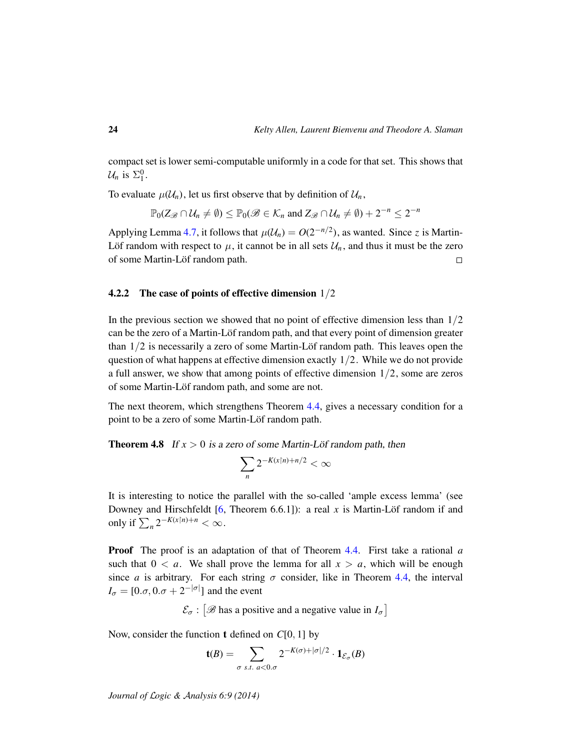compact set is lower semi-computable uniformly in a code for that set. This shows that  $\mathcal{U}_n$  is  $\Sigma_1^0$ .

To evaluate  $\mu(\mathcal{U}_n)$ , let us first observe that by definition of  $\mathcal{U}_n$ ,

$$
\mathbb{P}_0(Z_{\mathscr{B}} \cap \mathcal{U}_n \neq \emptyset) \le \mathbb{P}_0(\mathscr{B} \in \mathcal{K}_n \text{ and } Z_{\mathscr{B}} \cap \mathcal{U}_n \neq \emptyset) + 2^{-n} \le 2^{-n}
$$

Applying Lemma [4.7,](#page-19-1) it follows that  $\mu(\mathcal{U}_n) = O(2^{-n/2})$ , as wanted. Since *z* is Martin-Löf random with respect to  $\mu$ , it cannot be in all sets  $\mathcal{U}_n$ , and thus it must be the zero of some Martin-Löf random path.  $\Box$ 

#### 4.2.2 The case of points of effective dimension  $1/2$

In the previous section we showed that no point of effective dimension less than  $1/2$ can be the zero of a Martin-Löf random path, and that every point of dimension greater than  $1/2$  is necessarily a zero of some Martin-Löf random path. This leaves open the question of what happens at effective dimension exactly  $1/2$ . While we do not provide a full answer, we show that among points of effective dimension 1/2, some are zeros of some Martin-Löf random path, and some are not.

The next theorem, which strengthens Theorem [4.4,](#page-18-0) gives a necessary condition for a point to be a zero of some Martin-Löf random path.

<span id="page-23-0"></span>**Theorem 4.8** If  $x > 0$  is a zero of some Martin-Löf random path, then

$$
\sum_n 2^{-K(x\restriction n)+n/2} < \infty
$$

It is interesting to notice the parallel with the so-called 'ample excess lemma' (see Downey and Hirschfeldt  $[6,$  Theorem 6.6.1]): a real x is Martin-Löf random if and only if  $\sum_{n} 2^{-K(x\upharpoonright n)+n} < \infty$ .

Proof The proof is an adaptation of that of Theorem [4.4.](#page-18-0) First take a rational *a* such that  $0 < a$ . We shall prove the lemma for all  $x > a$ , which will be enough since *a* is arbitrary. For each string  $\sigma$  consider, like in Theorem [4.4,](#page-18-0) the interval  $I_{\sigma} = [0.\sigma, 0.\sigma + 2^{-|\sigma|}]$  and the event

 $\mathcal{E}_{\sigma}$ :  $\left[\mathcal{B}$  has a positive and a negative value in  $I_{\sigma}\right]$ 

Now, consider the function t defined on *C*[0, 1] by

$$
\mathbf{t}(B) = \sum_{\sigma \text{ s.t. } a < 0.\sigma} 2^{-K(\sigma) + |\sigma|/2} \cdot \mathbf{1}_{\mathcal{E}_{\sigma}}(B)
$$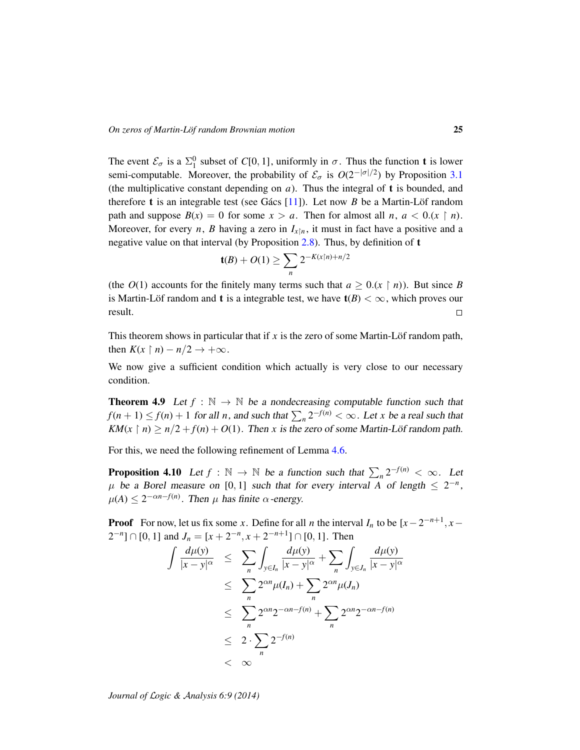The event  $\mathcal{E}_{\sigma}$  is a  $\Sigma_1^0$  subset of *C*[0, 1], uniformly in  $\sigma$ . Thus the function **t** is lower semi-computable. Moreover, the probability of  $\mathcal{E}_{\sigma}$  is  $O(2^{-|\sigma|/2})$  by Proposition [3.1](#page-10-0) (the multiplicative constant depending on  $a$ ). Thus the integral of  $t$  is bounded, and therefore **t** is an integrable test (see Gács  $[11]$  $[11]$ ). Let now *B* be a Martin-Löf random path and suppose  $B(x) = 0$  for some  $x > a$ . Then for almost all *n*,  $a < 0.(x \restriction n)$ . Moreover, for every *n*, *B* having a zero in  $I_{x|n}$ , it must in fact have a positive and a negative value on that interval (by Proposition  $2.8$ ). Thus, by definition of t

$$
t(B) + O(1) \ge \sum_{n} 2^{-K(x\lfloor n \rfloor + n/2)}
$$

(the  $O(1)$  accounts for the finitely many terms such that  $a \ge 0.(x \upharpoonright n)$ ). But since *B* is Martin-Löf random and **t** is a integrable test, we have  $t(B) < \infty$ , which proves our result.  $\Box$ 

This theorem shows in particular that if  $x$  is the zero of some Martin-Löf random path, then  $K(x \mid n) - n/2 \rightarrow +\infty$ .

We now give a sufficient condition which actually is very close to our necessary condition.

<span id="page-24-0"></span>**Theorem 4.9** Let  $f : \mathbb{N} \to \mathbb{N}$  be a nondecreasing computable function such that  $f(n+1) \le f(n) + 1$  for all *n*, and such that  $\sum_{n} 2^{-f(n)} < \infty$ . Let *x* be a real such that *KM*( $x \restriction n$ )  $\ge n/2 + f(n) + O(1)$ . Then *x* is the zero of some Martin-Löf random path.

For this, we need the following refinement of Lemma [4.6.](#page-19-2)

<span id="page-24-1"></span>**Proposition 4.10** Let  $f : \mathbb{N} \to \mathbb{N}$  be a function such that  $\sum_{n} 2^{-f(n)} < \infty$ . Let  $\mu$  be a Borel measure on [0, 1] such that for every interval *A* of length  $\leq 2^{-n}$ ,  $\mu(A) \leq 2^{-\alpha n - f(n)}$ . Then  $\mu$  has finite  $\alpha$ -energy.

**Proof** For now, let us fix some *x*. Define for all *n* the interval  $I_n$  to be  $[x-2^{-n+1}, x [2^{-n}] \cap [0, 1]$  and  $J_n = [x + 2^{-n}, x + 2^{-n+1}] \cap [0, 1]$ . Then

$$
\int \frac{d\mu(y)}{|x - y|^{\alpha}} \leq \sum_{n} \int_{y \in I_n} \frac{d\mu(y)}{|x - y|^{\alpha}} + \sum_{n} \int_{y \in J_n} \frac{d\mu(y)}{|x - y|^{\alpha}} \leq \sum_{n} 2^{\alpha n} \mu(I_n) + \sum_{n} 2^{\alpha n} \mu(J_n) \leq \sum_{n} 2^{\alpha n} 2^{-\alpha n - f(n)} + \sum_{n} 2^{\alpha n} 2^{-\alpha n - f(n)} \leq 2 \cdot \sum_{n} 2^{-f(n)} \n $\infty$
$$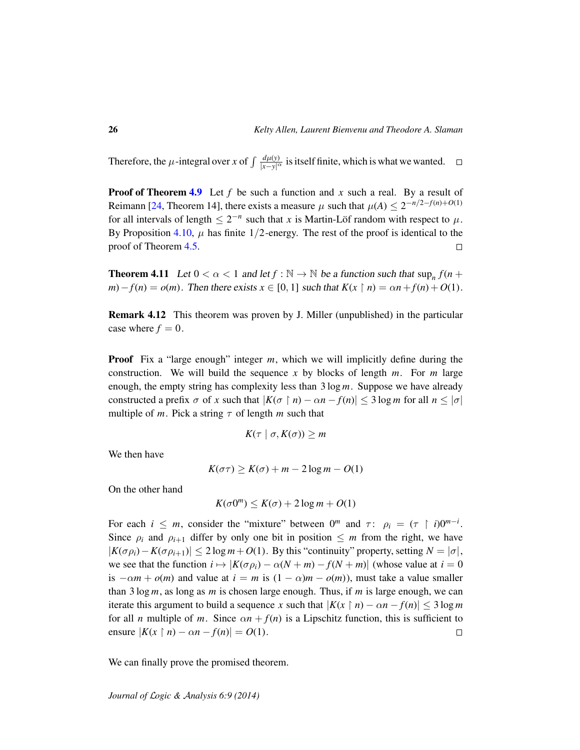Therefore, the  $\mu$ -integral over *x* of  $\int \frac{d\mu(y)}{|x-y|^{\alpha}}$  is itself finite, which is what we wanted.

**Proof of Theorem [4.9](#page-24-0)** Let f be such a function and x such a real. By a result of Reimann [\[24,](#page-32-17) Theorem 14], there exists a measure  $\mu$  such that  $\mu(A) \leq 2^{-n/2 - f(n) + O(1)}$ for all intervals of length  $\leq 2^{-n}$  such that *x* is Martin-Löf random with respect to  $\mu$ . By Proposition [4.10,](#page-24-1)  $\mu$  has finite 1/2-energy. The rest of the proof is identical to the proof of Theorem [4.5.](#page-19-0)  $\Box$ 

<span id="page-25-0"></span>**Theorem 4.11** Let  $0 < \alpha < 1$  and let  $f : \mathbb{N} \to \mathbb{N}$  be a function such that  $\sup_n f(n +$ *m*)−*f*(*n*) = *o*(*m*). Then there exists  $x \in [0, 1]$  such that  $K(x \restriction n) = \alpha n + f(n) + O(1)$ .

Remark 4.12 This theorem was proven by J. Miller (unpublished) in the particular case where  $f = 0$ .

**Proof** Fix a "large enough" integer *m*, which we will implicitly define during the construction. We will build the sequence *x* by blocks of length *m*. For *m* large enough, the empty string has complexity less than 3 log *m*. Suppose we have already constructed a prefix  $\sigma$  of  $x$  such that  $|K(\sigma \mid n) - \alpha n - f(n)| \leq 3 \log m$  for all  $n \leq |\sigma|$ multiple of *m*. Pick a string  $\tau$  of length *m* such that

$$
K(\tau \mid \sigma, K(\sigma)) \geq m
$$

We then have

$$
K(\sigma \tau) \ge K(\sigma) + m - 2\log m - O(1)
$$

On the other hand

$$
K(\sigma 0^m) \le K(\sigma) + 2\log m + O(1)
$$

For each  $i \leq m$ , consider the "mixture" between  $0^m$  and  $\tau$ :  $\rho_i = (\tau \restriction i)0^{m-i}$ . Since  $\rho_i$  and  $\rho_{i+1}$  differ by only one bit in position  $\leq m$  from the right, we have  $|K(\sigma \rho_i) - K(\sigma \rho_{i+1})| \leq 2 \log m + O(1)$ . By this "continuity" property, setting  $N = |\sigma|$ , we see that the function  $i \mapsto |K(\sigma \rho_i) - \alpha(N+m) - f(N+m)|$  (whose value at  $i = 0$ ) is  $-\alpha m + o(m)$  and value at  $i = m$  is  $(1 - \alpha)m - o(m)$ , must take a value smaller than 3 log *m*, as long as *m* is chosen large enough. Thus, if *m* is large enough, we can iterate this argument to build a sequence *x* such that  $|K(x \restriction n) - \alpha n - f(n)| \leq 3 \log m$ for all *n* multiple of *m*. Since  $\alpha n + f(n)$  is a Lipschitz function, this is sufficient to ensure  $|K(x \restriction n) - \alpha n - f(n)| = O(1)$ .  $\Box$ 

We can finally prove the promised theorem.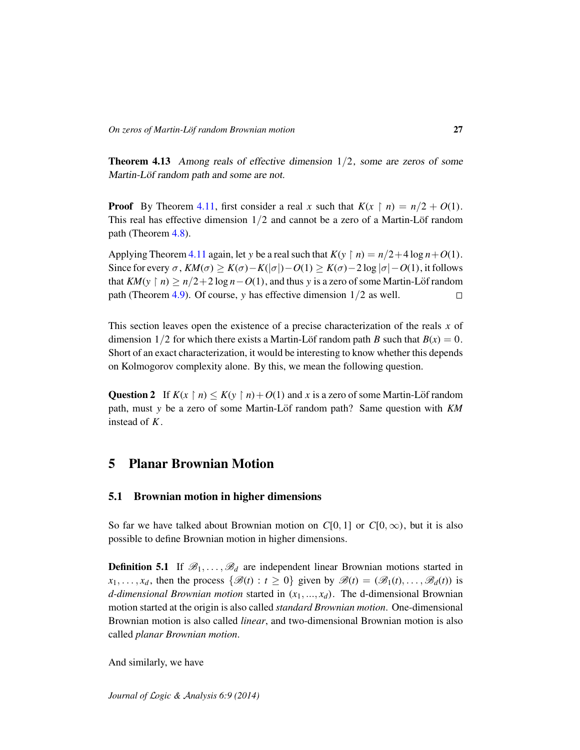**Theorem 4.13** Among reals of effective dimension  $1/2$ , some are zeros of some Martin-Löf random path and some are not.

**Proof** By Theorem [4.11,](#page-25-0) first consider a real *x* such that  $K(x \restriction n) = n/2 + O(1)$ . This real has effective dimension  $1/2$  and cannot be a zero of a Martin-Löf random path (Theorem [4.8\)](#page-23-0).

Applying Theorem [4.11](#page-25-0) again, let *y* be a real such that  $K(y \restriction n) = n/2 + 4 \log n + O(1)$ . Since for every σ,  $KM(σ)$  ≥  $K(σ) - K(σ|σ|) - O(1)$  ≥  $K(σ) - 2 log |σ| - O(1)$ , it follows that  $KM(y \mid n) \ge n/2 + 2 \log n - O(1)$ , and thus *y* is a zero of some Martin-Löf random path (Theorem [4.9\)](#page-24-0). Of course, *y* has effective dimension 1/2 as well.  $\Box$ 

This section leaves open the existence of a precise characterization of the reals *x* of dimension  $1/2$  for which there exists a Martin-Löf random path *B* such that  $B(x) = 0$ . Short of an exact characterization, it would be interesting to know whether this depends on Kolmogorov complexity alone. By this, we mean the following question.

Question 2 If  $K(x \mid n) \le K(y \mid n) + O(1)$  and x is a zero of some Martin-Löf random path, must *y* be a zero of some Martin-Löf random path? Same question with  $KM$ instead of *K*.

# 5 Planar Brownian Motion

#### 5.1 Brownian motion in higher dimensions

So far we have talked about Brownian motion on  $C[0, 1]$  or  $C[0, \infty)$ , but it is also possible to define Brownian motion in higher dimensions.

**Definition 5.1** If  $\mathcal{B}_1, \ldots, \mathcal{B}_d$  are independent linear Brownian motions started in  $x_1, \ldots, x_d$ , then the process  $\{\mathcal{B}(t) : t \geq 0\}$  given by  $\mathcal{B}(t) = (\mathcal{B}_1(t), \ldots, \mathcal{B}_d(t))$  is *d*-dimensional Brownian motion started in  $(x_1, ..., x_d)$ . The d-dimensional Brownian motion started at the origin is also called *standard Brownian motion*. One-dimensional Brownian motion is also called *linear*, and two-dimensional Brownian motion is also called *planar Brownian motion*.

And similarly, we have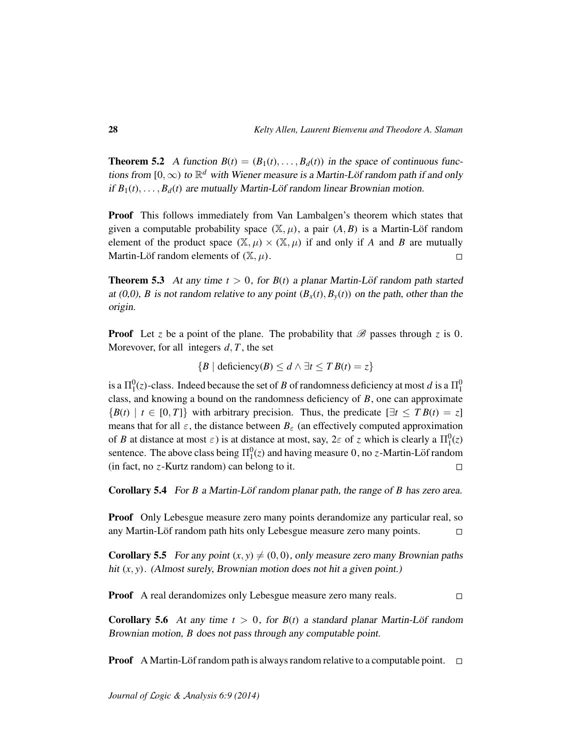**Theorem 5.2** A function  $B(t) = (B_1(t), \ldots, B_d(t))$  in the space of continuous functions from  $[0,\infty)$  to  $\mathbb{R}^d$  with Wiener measure is a Martin-Löf random path if and only if  $B_1(t), \ldots, B_d(t)$  are mutually Martin-Löf random linear Brownian motion.

Proof This follows immediately from Van Lambalgen's theorem which states that given a computable probability space  $(\mathbb{X}, \mu)$ , a pair  $(A, B)$  is a Martin-Löf random element of the product space  $(\mathbb{X}, \mu) \times (\mathbb{X}, \mu)$  if and only if *A* and *B* are mutually Martin-Löf random elements of  $(\mathbb{X}, \mu)$ .  $\Box$ 

**Theorem 5.3** At any time  $t > 0$ , for  $B(t)$  a planar Martin-Löf random path started at (0,0), *B* is not random relative to any point  $(B_x(t), B_y(t))$  on the path, other than the origin.

**Proof** Let *z* be a point of the plane. The probability that  $\mathscr{B}$  passes through *z* is 0. Morevover, for all integers *d*, *T* , the set

 ${B \mid \text{deficiency}(B) \le d \land \exists t \le TB(t) = z}$ 

is a  $\Pi^0_1(z)$ -class. Indeed because the set of *B* of randomness deficiency at most *d* is a  $\Pi^0_1$ class, and knowing a bound on the randomness deficiency of *B*, one can approximate  ${B(t) | t \in [0, T]}$  with arbitrary precision. Thus, the predicate  $[\exists t \leq T B(t) = z]$ means that for all  $\varepsilon$ , the distance between  $B_{\varepsilon}$  (an effectively computed approximation of *B* at distance at most  $\varepsilon$ ) is at distance at most, say,  $2\varepsilon$  of *z* which is clearly a  $\Pi_1^0(z)$ sentence. The above class being  $\Pi_1^0(z)$  and having measure 0, no *z*-Martin-Löf random (in fact, no *z*-Kurtz random) can belong to it.  $\Box$ 

**Corollary 5.4** For *B* a Martin-Löf random planar path, the range of *B* has zero area.

**Proof** Only Lebesgue measure zero many points derandomize any particular real, so any Martin-Löf random path hits only Lebesgue measure zero many points.  $\Box$ 

**Corollary 5.5** For any point  $(x, y) \neq (0, 0)$ , only measure zero many Brownian paths hit  $(x, y)$ . (Almost surely, Brownian motion does not hit a given point.)

Proof A real derandomizes only Lebesgue measure zero many reals.  $\Box$ 

**Corollary 5.6** At any time  $t > 0$ , for  $B(t)$  a standard planar Martin-Löf random Brownian motion, *B* does not pass through any computable point.

**Proof** A Martin-Löf random path is always random relative to a computable point.  $\Box$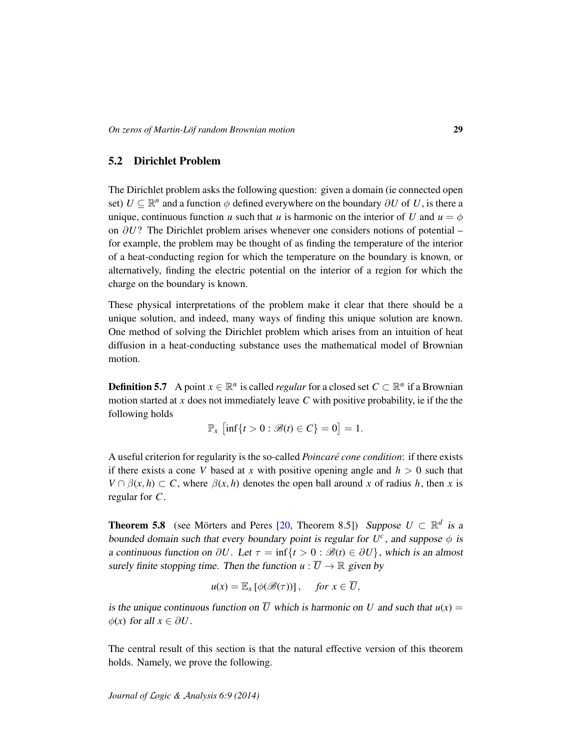## 5.2 Dirichlet Problem

The Dirichlet problem asks the following question: given a domain (ie connected open set)  $U \subseteq \mathbb{R}^n$  and a function  $\phi$  defined everywhere on the boundary  $\partial U$  of  $U$ , is there a unique, continuous function *u* such that *u* is harmonic on the interior of *U* and  $u = \phi$ on ∂*U*? The Dirichlet problem arises whenever one considers notions of potential – for example, the problem may be thought of as finding the temperature of the interior of a heat-conducting region for which the temperature on the boundary is known, or alternatively, finding the electric potential on the interior of a region for which the charge on the boundary is known.

These physical interpretations of the problem make it clear that there should be a unique solution, and indeed, many ways of finding this unique solution are known. One method of solving the Dirichlet problem which arises from an intuition of heat diffusion in a heat-conducting substance uses the mathematical model of Brownian motion.

**Definition 5.7** A point  $x \in \mathbb{R}^n$  is called *regular* for a closed set  $C \subset \mathbb{R}^n$  if a Brownian motion started at *x* does not immediately leave *C* with positive probability, ie if the the following holds

$$
\mathbb{P}_x \left[ \inf \{ t > 0 : \mathcal{B}(t) \in C \} = 0 \right] = 1.
$$

A useful criterion for regularity is the so-called *Poincare cone condition ´* : if there exists if there exists a cone *V* based at *x* with positive opening angle and  $h > 0$  such that  $V \cap \beta(x, h) \subset C$ , where  $\beta(x, h)$  denotes the open ball around *x* of radius *h*, then *x* is regular for *C*.

<span id="page-28-0"></span>**Theorem 5.8** (see Mörters and Peres [[20,](#page-32-8) Theorem 8.5]) Suppose  $U \subset \mathbb{R}^d$  is a bounded domain such that every boundary point is regular for  $U^c$ , and suppose  $\phi$  is a continuous function on  $\partial U$ . Let  $\tau = \inf\{t > 0 : \mathcal{B}(t) \in \partial U\}$ , which is an almost surely finite stopping time. Then the function  $u : \overline{U} \to \mathbb{R}$  given by

$$
u(x) = \mathbb{E}_x \left[ \phi(\mathscr{B}(\tau)) \right], \quad \text{for } x \in \overline{U},
$$

is the unique continuous function on  $\overline{U}$  which is harmonic on *U* and such that  $u(x) =$  $\phi(x)$  for all  $x \in \partial U$ .

The central result of this section is that the natural effective version of this theorem holds. Namely, we prove the following.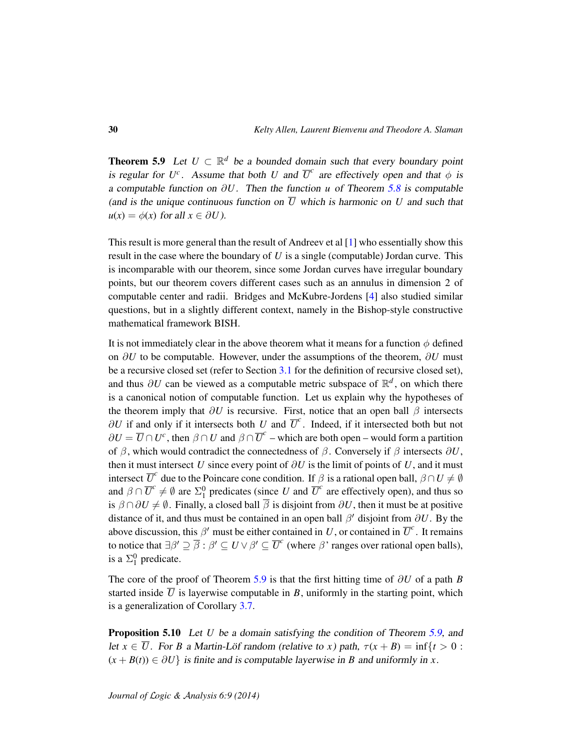<span id="page-29-0"></span>**Theorem 5.9** Let  $U \subset \mathbb{R}^d$  be a bounded domain such that every boundary point is regular for  $U^c$ . Assume that both *U* and  $\overline{U}^c$  are effectively open and that  $\phi$  is a computable function on ∂*U*. Then the function *u* of Theorem [5.8](#page-28-0) is computable (and is the unique continuous function on  $\overline{U}$  which is harmonic on  $U$  and such that  $u(x) = \phi(x)$  for all  $x \in \partial U$ ).

This result is more general than the result of Andreev et al [\[1\]](#page-31-5) who essentially show this result in the case where the boundary of *U* is a single (computable) Jordan curve. This is incomparable with our theorem, since some Jordan curves have irregular boundary points, but our theorem covers different cases such as an annulus in dimension 2 of computable center and radii. Bridges and McKubre-Jordens [\[4\]](#page-31-6) also studied similar questions, but in a slightly different context, namely in the Bishop-style constructive mathematical framework BISH.

It is not immediately clear in the above theorem what it means for a function  $\phi$  defined on ∂*U* to be computable. However, under the assumptions of the theorem, ∂*U* must be a recursive closed set (refer to Section [3.1](#page-10-2) for the definition of recursive closed set), and thus  $\partial U$  can be viewed as a computable metric subspace of  $\mathbb{R}^d$ , on which there is a canonical notion of computable function. Let us explain why the hypotheses of the theorem imply that  $\partial U$  is recursive. First, notice that an open ball  $\beta$  intersects  $\partial U$  if and only if it intersects both *U* and  $\overline{U}^c$ . Indeed, if it intersected both but not  $\partial U = \overline{U} \cap U^c$ , then  $\beta \cap U$  and  $\beta \cap \overline{U}^c$  – which are both open – would form a partition of  $\beta$ , which would contradict the connectedness of  $\beta$ . Conversely if  $\beta$  intersects  $\partial U$ , then it must intersect *U* since every point of  $\partial U$  is the limit of points of *U*, and it must intersect  $\overline{U}^c$  due to the Poincare cone condition. If  $\beta$  is a rational open ball,  $\beta \cap U \neq \emptyset$ and  $\beta \cap \overline{U}^c \neq \emptyset$  are  $\Sigma_1^0$  predicates (since *U* and  $\overline{U}^c$  are effectively open), and thus so is  $\beta \cap \partial U \neq \emptyset$ . Finally, a closed ball  $\overline{\beta}$  is disjoint from  $\partial U$ , then it must be at positive distance of it, and thus must be contained in an open ball  $\beta'$  disjoint from  $\partial U$ . By the above discussion, this  $\beta'$  must be either contained in *U*, or contained in  $\overline{U}^c$ . It remains to notice that  $\exists \beta' \supseteq \overline{\beta} : \beta' \subseteq U \vee \beta' \subseteq \overline{U}^c$  (where  $\beta$ ' ranges over rational open balls), is a  $\Sigma_1^0$  predicate.

The core of the proof of Theorem [5.9](#page-29-0) is that the first hitting time of ∂*U* of a path *B* started inside  $\overline{U}$  is layerwise computable in *B*, uniformly in the starting point, which is a generalization of Corollary [3.7.](#page-12-1)

**Proposition 5.10** Let *U* be a domain satisfying the condition of Theorem [5.9,](#page-29-0) and let  $x \in \overline{U}$ . For *B* a Martin-Löf random (relative to *x*) path,  $\tau(x + B) = \inf\{t > 0$ :  $(x + B(t)) \in \partial U$  is finite and is computable layerwise in *B* and uniformly in *x*.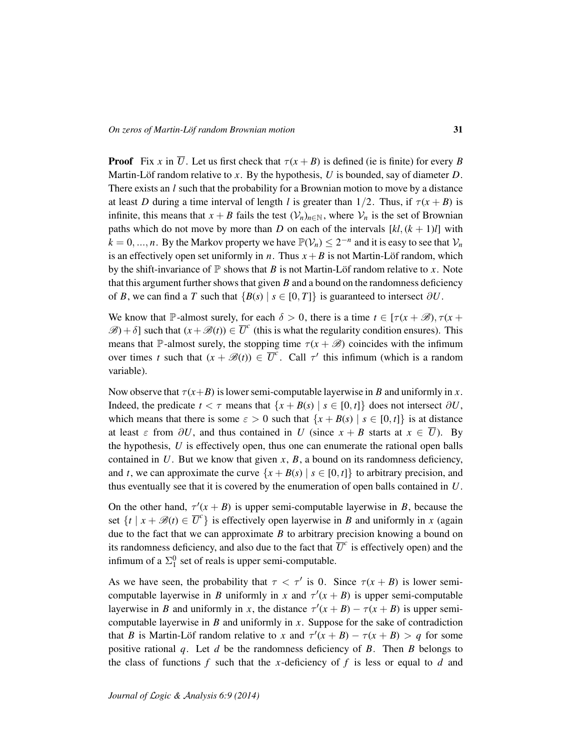**Proof** Fix *x* in  $\overline{U}$ . Let us first check that  $\tau(x + B)$  is defined (ie is finite) for every *B* Martin-Löf random relative to x. By the hypothesis, U is bounded, say of diameter  $D$ . There exists an *l* such that the probability for a Brownian motion to move by a distance at least *D* during a time interval of length *l* is greater than  $1/2$ . Thus, if  $\tau(x + B)$  is infinite, this means that  $x + B$  fails the test  $(\mathcal{V}_n)_{n \in \mathbb{N}}$ , where  $\mathcal{V}_n$  is the set of Brownian paths which do not move by more than *D* on each of the intervals  $[kl, (k + 1)l]$  with  $k = 0, ..., n$ . By the Markov property we have  $\mathbb{P}(\mathcal{V}_n) \leq 2^{-n}$  and it is easy to see that  $\mathcal{V}_n$ is an effectively open set uniformly in *n*. Thus  $x + B$  is not Martin-Löf random, which by the shift-invariance of  $\mathbb P$  shows that *B* is not Martin-Löf random relative to *x*. Note that this argument further shows that given *B* and a bound on the randomness deficiency of *B*, we can find a *T* such that  ${B(s) | s \in [0, T]}$  is guaranteed to intersect  $\partial U$ .

We know that P-almost surely, for each  $\delta > 0$ , there is a time  $t \in [\tau(x + \mathcal{B}), \tau(x + \delta)]$  $\mathscr{B}$ ) +  $\delta$ ] such that  $(x + \mathscr{B}(t)) \in \overline{U}^c$  (this is what the regularity condition ensures). This means that P-almost surely, the stopping time  $\tau(x + \mathscr{B})$  coincides with the infimum over times *t* such that  $(x + \mathcal{B}(t)) \in \overline{U}^c$ . Call  $\tau'$  this infimum (which is a random variable).

Now observe that  $\tau(x+B)$  is lower semi-computable layerwise in *B* and uniformly in *x*. Indeed, the predicate  $t < \tau$  means that  $\{x + B(s) | s \in [0, t]\}$  does not intersect  $\partial U$ , which means that there is some  $\varepsilon > 0$  such that  $\{x + B(s) | s \in [0, t]\}$  is at distance at least  $\varepsilon$  from  $\partial U$ , and thus contained in *U* (since  $x + B$  starts at  $x \in \overline{U}$ ). By the hypothesis, *U* is effectively open, thus one can enumerate the rational open balls contained in  $U$ . But we know that given  $x$ ,  $B$ , a bound on its randomness deficiency, and *t*, we can approximate the curve  $\{x + B(s) | s \in [0, t]\}$  to arbitrary precision, and thus eventually see that it is covered by the enumeration of open balls contained in *U*.

On the other hand,  $\tau'(x + B)$  is upper semi-computable layerwise in *B*, because the set  $\{t \mid x + \mathcal{B}(t) \in \overline{U}^c\}$  is effectively open layerwise in *B* and uniformly in *x* (again due to the fact that we can approximate  $B$  to arbitrary precision knowing a bound on its randomness deficiency, and also due to the fact that  $\overline{U}^c$  is effectively open) and the infimum of a  $\Sigma_1^0$  set of reals is upper semi-computable.

As we have seen, the probability that  $\tau < \tau'$  is 0. Since  $\tau(x + B)$  is lower semicomputable layerwise in *B* uniformly in *x* and  $\tau'(x + B)$  is upper semi-computable layerwise in *B* and uniformly in *x*, the distance  $\tau'(x + B) - \tau(x + B)$  is upper semicomputable layerwise in *B* and uniformly in *x*. Suppose for the sake of contradiction that *B* is Martin-Löf random relative to *x* and  $\tau'(x + B) - \tau(x + B) > q$  for some positive rational *q*. Let *d* be the randomness deficiency of *B*. Then *B* belongs to the class of functions  $f$  such that the *x*-deficiency of  $f$  is less or equal to  $d$  and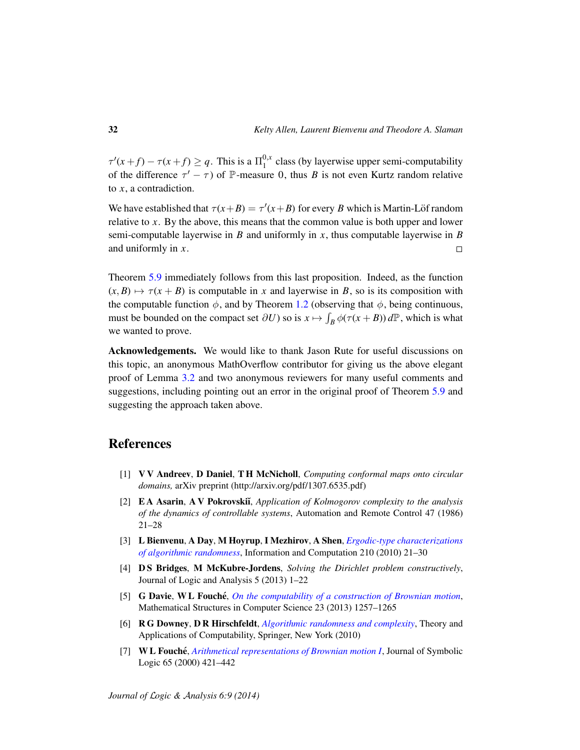$\tau'(x+f) - \tau(x+f) \geq q$ . This is a  $\Pi_1^{0,x}$  $\int_1^{0,x}$  class (by layerwise upper semi-computability of the difference  $\tau' - \tau$ ) of P-measure 0, thus *B* is not even Kurtz random relative to *x*, a contradiction.

We have established that  $\tau(x+B) = \tau'(x+B)$  for every *B* which is Martin-Löf random relative to *x*. By the above, this means that the common value is both upper and lower semi-computable layerwise in *B* and uniformly in *x*, thus computable layerwise in *B* and uniformly in *x*.  $\Box$ 

Theorem [5.9](#page-29-0) immediately follows from this last proposition. Indeed, as the function  $(x, B) \mapsto \tau(x + B)$  is computable in *x* and layerwise in *B*, so is its composition with the computable function  $\phi$ , and by Theorem [1.2](#page-4-0) (observing that  $\phi$ , being continuous, must be bounded on the compact set  $\partial U$ ) so is  $x \mapsto \int_B \phi(\tau(x+B)) d\mathbb{P}$ , which is what we wanted to prove.

Acknowledgements. We would like to thank Jason Rute for useful discussions on this topic, an anonymous MathOverflow contributor for giving us the above elegant proof of Lemma [3.2](#page-10-1) and two anonymous reviewers for many useful comments and suggestions, including pointing out an error in the original proof of Theorem [5.9](#page-29-0) and suggesting the approach taken above.

# References

- <span id="page-31-5"></span>[1] V V Andreev, D Daniel, T H McNicholl, *Computing conformal maps onto circular domains,* arXiv preprint (http://arxiv.org/pdf/1307.6535.pdf)
- <span id="page-31-0"></span>[2] **EA Asarin, A V Pokrovskii**, *Application of Kolmogorov complexity to the analysis of the dynamics of controllable systems*, Automation and Remote Control 47 (1986) 21–28
- <span id="page-31-4"></span>[3] L Bienvenu, A Day, M Hoyrup, I Mezhirov, A Shen, *[Ergodic-type characterizations](http://dx.doi.org/10.1007/978-3-642-13962-8_6) [of algorithmic randomness](http://dx.doi.org/10.1007/978-3-642-13962-8_6)*, Information and Computation 210 (2010) 21–30
- <span id="page-31-6"></span>[4] D S Bridges, M McKubre-Jordens, *Solving the Dirichlet problem constructively*, Journal of Logic and Analysis 5 (2013) 1–22
- <span id="page-31-2"></span>[5] **G Davie, W L Fouché**, *[On the computability of a construction of Brownian motion](http://dx.doi.org/10.1017/S0960129513000157)*, Mathematical Structures in Computer Science 23 (2013) 1257–1265
- <span id="page-31-3"></span>[6] R G Downey, D R Hirschfeldt, *[Algorithmic randomness and complexity](http://dx.doi.org/10.1007/978-0-387-68441-3)*, Theory and Applications of Computability, Springer, New York (2010)
- <span id="page-31-1"></span>[7] W L Fouche´, *[Arithmetical representations of Brownian motion I](http://dx.doi.org/10.2307/2586546)*, Journal of Symbolic Logic 65 (2000) 421–442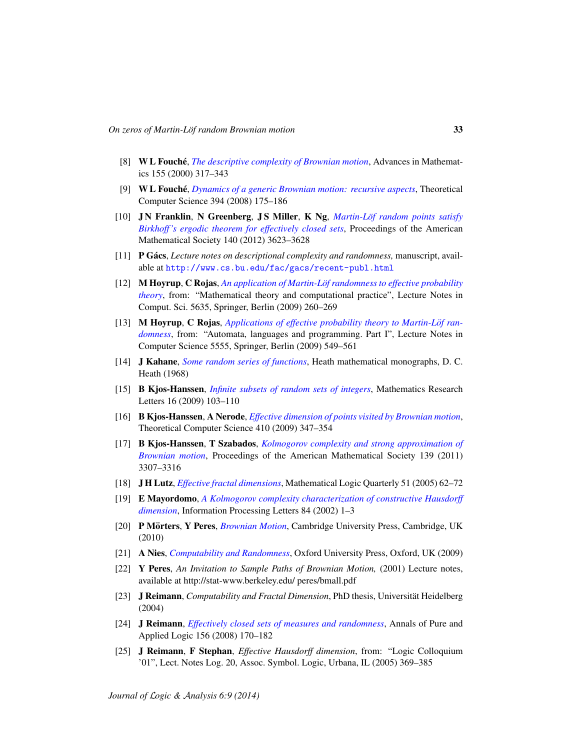- <span id="page-32-0"></span>[8] W L Fouche´, *[The descriptive complexity of Brownian motion](http://dx.doi.org/10.1006/aima.2000.1945)*, Advances in Mathematics 155 (2000) 317–343
- <span id="page-32-1"></span>[9] W L Fouche´, *[Dynamics of a generic Brownian motion: recursive aspects](http://dx.doi.org/10.1016/j.tcs.2007.12.010)*, Theoretical Computer Science 394 (2008) 175–186
- <span id="page-32-11"></span>[10] JN Franklin, N Greenberg, JS Miller, K Ng, *Martin-Löf random points satisfy [Birkhoff 's ergodic theorem for effectively closed sets](http://dx.doi.org/http://dx.doi.org/10.1090/S0002-9939-2012-11179-7)*, Proceedings of the American Mathematical Society 140 (2012) 3623–3628
- <span id="page-32-5"></span>[11] **P Gács**, *Lecture notes on descriptional complexity and randomness*, manuscript, available at <http://www.cs.bu.edu/fac/gacs/recent-publ.html>
- <span id="page-32-6"></span>[12] M Hoyrup, C Rojas, *[An application of Martin-Lof randomness to effective probability](http://dx.doi.org/10.1007/978-3-642-03073-4_27) ¨ [theory](http://dx.doi.org/10.1007/978-3-642-03073-4_27)*, from: "Mathematical theory and computational practice", Lecture Notes in Comput. Sci. 5635, Springer, Berlin (2009) 260–269
- <span id="page-32-7"></span>[13] M Hoyrup, C Rojas, *[Applications of effective probability theory to Martin-Lof ran-](http://dx.doi.org/10.1007/978-3-642-02927-1_46) ¨ [domness](http://dx.doi.org/10.1007/978-3-642-02927-1_46)*, from: "Automata, languages and programming. Part I", Lecture Notes in Computer Science 5555, Springer, Berlin (2009) 549–561
- <span id="page-32-10"></span>[14] J Kahane, *[Some random series of functions](http://books.google.com/books?id=0MI-AAAAIAAJ)*, Heath mathematical monographs, D. C. Heath (1968)
- <span id="page-32-16"></span>[15] B Kjos-Hanssen, *[Infinite subsets of random sets of integers](http://dx.doi.org/10.1007/978-3-642-03073-4_16)*, Mathematics Research Letters 16 (2009) 103–110
- <span id="page-32-2"></span>[16] B Kjos-Hanssen, A Nerode, *[Effective dimension of points visited by Brownian motion](http://dx.doi.org/10.1016/j.tcs.2008.09.045)*, Theoretical Computer Science 410 (2009) 347–354
- <span id="page-32-3"></span>[17] B Kjos-Hanssen, T Szabados, *[Kolmogorov complexity and strong approximation of](http://dx.doi.org/10.1090/S0002-9939-2011-10741-X) [Brownian motion](http://dx.doi.org/10.1090/S0002-9939-2011-10741-X)*, Proceedings of the American Mathematical Society 139 (2011) 3307–3316
- <span id="page-32-13"></span>[18] J H Lutz, *[Effective fractal dimensions](http://dx.doi.org/10.1002/malq.200310127)*, Mathematical Logic Quarterly 51 (2005) 62–72
- <span id="page-32-12"></span>[19] E Mayordomo, *[A Kolmogorov complexity characterization of constructive Hausdorff](http://dx.doi.org/10.1016/S0020-0190(02)00343-5) [dimension](http://dx.doi.org/10.1016/S0020-0190(02)00343-5)*, Information Processing Letters 84 (2002) 1–3
- <span id="page-32-8"></span>[20] P Mörters, Y Peres, *[Brownian Motion](http://dx.doi.org/http://dx.doi.org/10.1017/CBO9780511750489)*, Cambridge University Press, Cambridge, UK (2010)
- <span id="page-32-4"></span>[21] A Nies, *[Computability and Randomness](http://dx.doi.org/http://dx.doi.org/10.1093/acprof:oso/9780199230761.001.0001)*, Oxford University Press, Oxford, UK (2009)
- <span id="page-32-9"></span>[22] Y Peres, *An Invitation to Sample Paths of Brownian Motion,* (2001) Lecture notes, available at http://stat-www.berkeley.edu/ peres/bmall.pdf
- <span id="page-32-14"></span>[23] **J Reimann**, *Computability and Fractal Dimension*, PhD thesis, Universität Heidelberg (2004)
- <span id="page-32-17"></span>[24] J Reimann, *[Effectively closed sets of measures and randomness](http://dx.doi.org/http://dx.doi.org/10.1016/j.apal.2008.06.015)*, Annals of Pure and Applied Logic 156 (2008) 170–182
- <span id="page-32-15"></span>[25] J Reimann, F Stephan, *Effective Hausdorff dimension*, from: "Logic Colloquium '01", Lect. Notes Log. 20, Assoc. Symbol. Logic, Urbana, IL (2005) 369–385